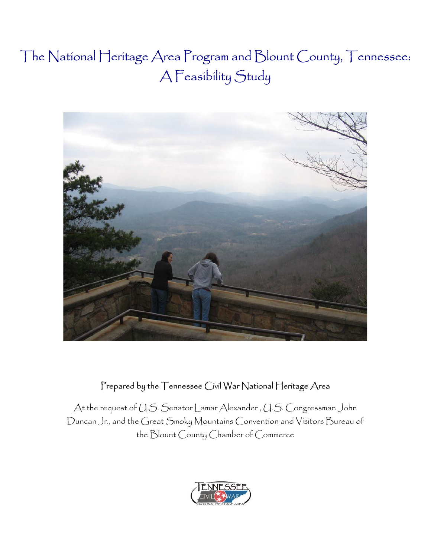# $\mathbf{r}$   $\mathbf{r}$   $\mathbf{r}$   $\mathbf{r}$   $\mathbf{r}$ The National Heritage Area Program and Blount County, Tennessee: A Feasibility Study



# Prepared by the Tennessee Civil War National Heritage Area

At the request of U.S. Senator Lamar Alexander , U.S. Congressman John Duncan Jr., and the Great Smoky Mountains Convention and Visitors Bureau of the Blount County Chamber of Commerce

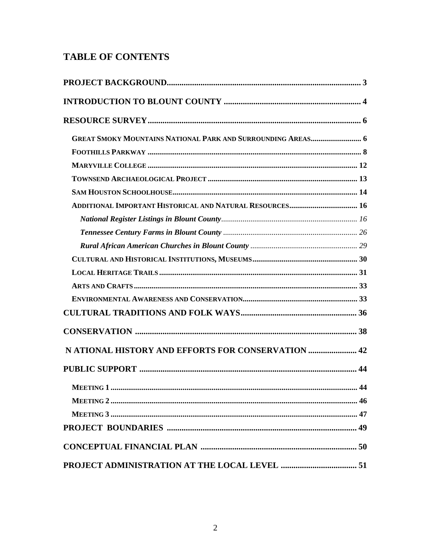# **TABLE OF CONTENTS**

| <b>GREAT SMOKY MOUNTAINS NATIONAL PARK AND SURROUNDING AREAS 6</b> |  |
|--------------------------------------------------------------------|--|
|                                                                    |  |
|                                                                    |  |
|                                                                    |  |
|                                                                    |  |
| ADDITIONAL IMPORTANT HISTORICAL AND NATURAL RESOURCES 16           |  |
|                                                                    |  |
|                                                                    |  |
|                                                                    |  |
|                                                                    |  |
|                                                                    |  |
|                                                                    |  |
|                                                                    |  |
|                                                                    |  |
|                                                                    |  |
| N ATIONAL HISTORY AND EFFORTS FOR CONSERVATION  42                 |  |
|                                                                    |  |
|                                                                    |  |
|                                                                    |  |
|                                                                    |  |
|                                                                    |  |
|                                                                    |  |
|                                                                    |  |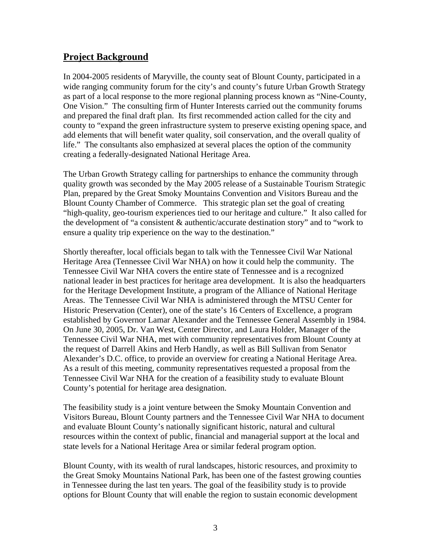# **Project Background**

In 2004-2005 residents of Maryville, the county seat of Blount County, participated in a wide ranging community forum for the city's and county's future Urban Growth Strategy as part of a local response to the more regional planning process known as "Nine-County, One Vision." The consulting firm of Hunter Interests carried out the community forums and prepared the final draft plan. Its first recommended action called for the city and county to "expand the green infrastructure system to preserve existing opening space, and add elements that will benefit water quality, soil conservation, and the overall quality of life." The consultants also emphasized at several places the option of the community creating a federally-designated National Heritage Area.

The Urban Growth Strategy calling for partnerships to enhance the community through quality growth was seconded by the May 2005 release of a Sustainable Tourism Strategic Plan, prepared by the Great Smoky Mountains Convention and Visitors Bureau and the Blount County Chamber of Commerce. This strategic plan set the goal of creating "high-quality, geo-tourism experiences tied to our heritage and culture." It also called for the development of "a consistent & authentic/accurate destination story" and to "work to ensure a quality trip experience on the way to the destination."

Shortly thereafter, local officials began to talk with the Tennessee Civil War National Heritage Area (Tennessee Civil War NHA) on how it could help the community. The Tennessee Civil War NHA covers the entire state of Tennessee and is a recognized national leader in best practices for heritage area development. It is also the headquarters for the Heritage Development Institute, a program of the Alliance of National Heritage Areas. The Tennessee Civil War NHA is administered through the MTSU Center for Historic Preservation (Center), one of the state's 16 Centers of Excellence, a program established by Governor Lamar Alexander and the Tennessee General Assembly in 1984. On June 30, 2005, Dr. Van West, Center Director, and Laura Holder, Manager of the Tennessee Civil War NHA, met with community representatives from Blount County at the request of Darrell Akins and Herb Handly, as well as Bill Sullivan from Senator Alexander's D.C. office, to provide an overview for creating a National Heritage Area. As a result of this meeting, community representatives requested a proposal from the Tennessee Civil War NHA for the creation of a feasibility study to evaluate Blount County's potential for heritage area designation.

The feasibility study is a joint venture between the Smoky Mountain Convention and Visitors Bureau, Blount County partners and the Tennessee Civil War NHA to document and evaluate Blount County's nationally significant historic, natural and cultural resources within the context of public, financial and managerial support at the local and state levels for a National Heritage Area or similar federal program option.

Blount County, with its wealth of rural landscapes, historic resources, and proximity to the Great Smoky Mountains National Park, has been one of the fastest growing counties in Tennessee during the last ten years. The goal of the feasibility study is to provide options for Blount County that will enable the region to sustain economic development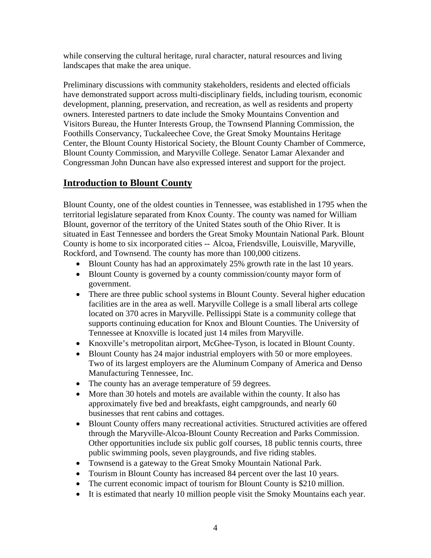while conserving the cultural heritage, rural character, natural resources and living landscapes that make the area unique.

Preliminary discussions with community stakeholders, residents and elected officials have demonstrated support across multi-disciplinary fields, including tourism, economic development, planning, preservation, and recreation, as well as residents and property owners. Interested partners to date include the Smoky Mountains Convention and Visitors Bureau, the Hunter Interests Group, the Townsend Planning Commission, the Foothills Conservancy, Tuckaleechee Cove, the Great Smoky Mountains Heritage Center, the Blount County Historical Society, the Blount County Chamber of Commerce, Blount County Commission, and Maryville College. Senator Lamar Alexander and Congressman John Duncan have also expressed interest and support for the project.

# **Introduction to Blount County**

Blount County, one of the oldest counties in Tennessee, was established in 1795 when the territorial legislature separated from Knox County. The county was named for William Blount, governor of the territory of the United States south of the Ohio River. It is situated in East Tennessee and borders the Great Smoky Mountain National Park. Blount County is home to six incorporated cities -- Alcoa, Friendsville, Louisville, Maryville, Rockford, and Townsend. The county has more than 100,000 citizens.

- Blount County has had an approximately 25% growth rate in the last 10 years.
- Blount County is governed by a county commission/county mayor form of government.
- There are three public school systems in Blount County. Several higher education facilities are in the area as well. Maryville College is a small liberal arts college located on 370 acres in Maryville. Pellissippi State is a community college that supports continuing education for Knox and Blount Counties. The University of Tennessee at Knoxville is located just 14 miles from Maryville.
- Knoxville's metropolitan airport, McGhee-Tyson, is located in Blount County.
- Blount County has 24 major industrial employers with 50 or more employees. Two of its largest employers are the Aluminum Company of America and Denso Manufacturing Tennessee, Inc.
- The county has an average temperature of 59 degrees.
- More than 30 hotels and motels are available within the county. It also has approximately five bed and breakfasts, eight campgrounds, and nearly 60 businesses that rent cabins and cottages.
- Blount County offers many recreational activities. Structured activities are offered through the Maryville-Alcoa-Blount County Recreation and Parks Commission. Other opportunities include six public golf courses, 18 public tennis courts, three public swimming pools, seven playgrounds, and five riding stables.
- Townsend is a gateway to the Great Smoky Mountain National Park.
- Tourism in Blount County has increased 84 percent over the last 10 years.
- The current economic impact of tourism for Blount County is \$210 million.
- It is estimated that nearly 10 million people visit the Smoky Mountains each year.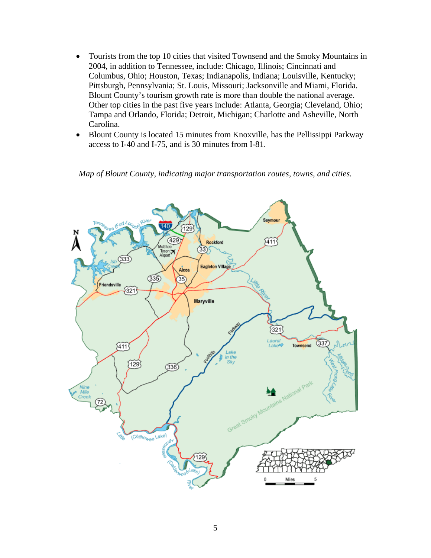- Tourists from the top 10 cities that visited Townsend and the Smoky Mountains in 2004, in addition to Tennessee, include: Chicago, Illinois; Cincinnati and Columbus, Ohio; Houston, Texas; Indianapolis, Indiana; Louisville, Kentucky; Pittsburgh, Pennsylvania; St. Louis, Missouri; Jacksonville and Miami, Florida. Blount County's tourism growth rate is more than double the national average. Other top cities in the past five years include: Atlanta, Georgia; Cleveland, Ohio; Tampa and Orlando, Florida; Detroit, Michigan; Charlotte and Asheville, North Carolina.
- Blount County is located 15 minutes from Knoxville, has the Pellissippi Parkway access to I-40 and I-75, and is 30 minutes from I-81.

*Map of Blount County, indicating major transportation routes, towns, and cities.* 

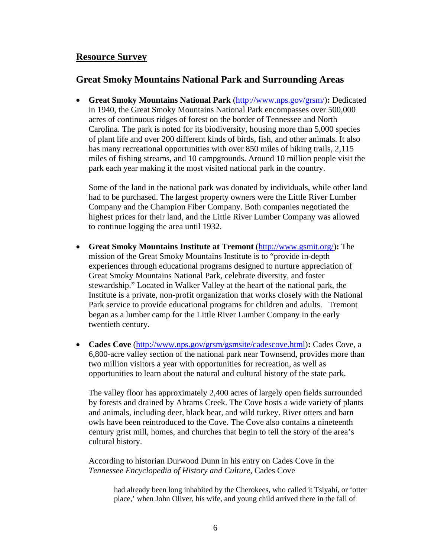## **Resource Survey**

# **Great Smoky Mountains National Park and Surrounding Areas**

• **Great Smoky Mountains National Park** (http://www.nps.gov/grsm/)**:** Dedicated in 1940, the Great Smoky Mountains National Park encompasses over 500,000 acres of continuous ridges of forest on the border of Tennessee and North Carolina. The park is noted for its biodiversity, housing more than 5,000 species of plant life and over 200 different kinds of birds, fish, and other animals. It also has many recreational opportunities with over 850 miles of hiking trails, 2,115 miles of fishing streams, and 10 campgrounds. Around 10 million people visit the park each year making it the most visited national park in the country.

Some of the land in the national park was donated by individuals, while other land had to be purchased. The largest property owners were the Little River Lumber Company and the Champion Fiber Company. Both companies negotiated the highest prices for their land, and the Little River Lumber Company was allowed to continue logging the area until 1932.

- **Great Smoky Mountains Institute at Tremont** (http://www.gsmit.org/)**:** The mission of the Great Smoky Mountains Institute is to "provide in-depth experiences through educational programs designed to nurture appreciation of Great Smoky Mountains National Park, celebrate diversity, and foster stewardship." Located in Walker Valley at the heart of the national park, the Institute is a private, non-profit organization that works closely with the National Park service to provide educational programs for children and adults. Tremont began as a lumber camp for the Little River Lumber Company in the early twentieth century.
- **Cades Cove** (http://www.nps.gov/grsm/gsmsite/cadescove.html): Cades Cove, a 6,800-acre valley section of the national park near Townsend, provides more than two million visitors a year with opportunities for recreation, as well as opportunities to learn about the natural and cultural history of the state park.

The valley floor has approximately 2,400 acres of largely open fields surrounded by forests and drained by Abrams Creek. The Cove hosts a wide variety of plants and animals, including deer, black bear, and wild turkey. River otters and barn owls have been reintroduced to the Cove. The Cove also contains a nineteenth century grist mill, homes, and churches that begin to tell the story of the area's cultural history.

According to historian Durwood Dunn in his entry on Cades Cove in the *Tennessee Encyclopedia of History and Culture*, Cades Cove

had already been long inhabited by the Cherokees, who called it Tsiyahi, or 'otter place,' when John Oliver, his wife, and young child arrived there in the fall of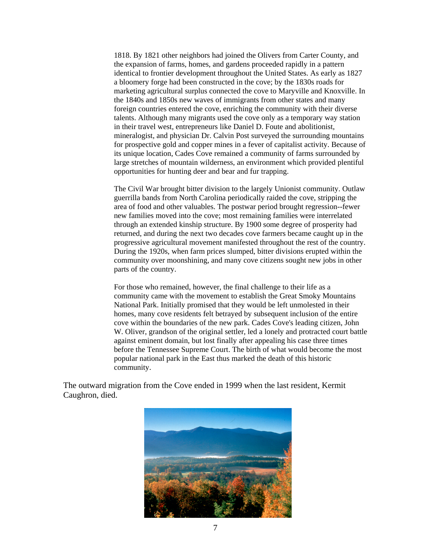1818. By 1821 other neighbors had joined the Olivers from Carter County, and the expansion of farms, homes, and gardens proceeded rapidly in a pattern identical to frontier development throughout the United States. As early as 1827 a bloomery forge had been constructed in the cove; by the 1830s roads for marketing agricultural surplus connected the cove to Maryville and Knoxville. In the 1840s and 1850s new waves of immigrants from other states and many foreign countries entered the cove, enriching the community with their diverse talents. Although many migrants used the cove only as a temporary way station in their travel west, entrepreneurs like Daniel D. Foute and abolitionist, mineralogist, and physician Dr. Calvin Post surveyed the surrounding mountains for prospective gold and copper mines in a fever of capitalist activity. Because of its unique location, Cades Cove remained a community of farms surrounded by large stretches of mountain wilderness, an environment which provided plentiful opportunities for hunting deer and bear and fur trapping.

The Civil War brought bitter division to the largely Unionist community. Outlaw guerrilla bands from North Carolina periodically raided the cove, stripping the area of food and other valuables. The postwar period brought regression--fewer new families moved into the cove; most remaining families were interrelated through an extended kinship structure. By 1900 some degree of prosperity had returned, and during the next two decades cove farmers became caught up in the progressive agricultural movement manifested throughout the rest of the country. During the 1920s, when farm prices slumped, bitter divisions erupted within the community over moonshining, and many cove citizens sought new jobs in other parts of the country.

For those who remained, however, the final challenge to their life as a community came with the movement to establish the Great Smoky Mountains National Park. Initially promised that they would be left unmolested in their homes, many cove residents felt betrayed by subsequent inclusion of the entire cove within the boundaries of the new park. Cades Cove's leading citizen, John W. Oliver, grandson of the original settler, led a lonely and protracted court battle against eminent domain, but lost finally after appealing his case three times before the Tennessee Supreme Court. The birth of what would become the most popular national park in the East thus marked the death of this historic community.

The outward migration from the Cove ended in 1999 when the last resident, Kermit Caughron, died.

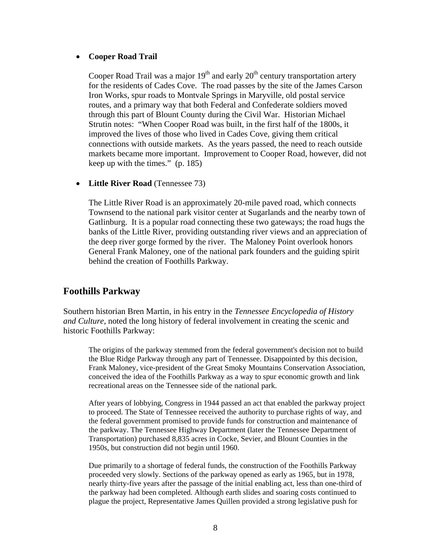#### • **Cooper Road Trail**

Cooper Road Trail was a major  $19<sup>th</sup>$  and early  $20<sup>th</sup>$  century transportation artery for the residents of Cades Cove. The road passes by the site of the James Carson Iron Works, spur roads to Montvale Springs in Maryville, old postal service routes, and a primary way that both Federal and Confederate soldiers moved through this part of Blount County during the Civil War. Historian Michael Strutin notes: "When Cooper Road was built, in the first half of the 1800s, it improved the lives of those who lived in Cades Cove, giving them critical connections with outside markets. As the years passed, the need to reach outside markets became more important. Improvement to Cooper Road, however, did not keep up with the times." (p. 185)

• **Little River Road** (Tennessee 73)

The Little River Road is an approximately 20-mile paved road, which connects Townsend to the national park visitor center at Sugarlands and the nearby town of Gatlinburg. It is a popular road connecting these two gateways; the road hugs the banks of the Little River, providing outstanding river views and an appreciation of the deep river gorge formed by the river. The Maloney Point overlook honors General Frank Maloney, one of the national park founders and the guiding spirit behind the creation of Foothills Parkway.

# **Foothills Parkway**

Southern historian Bren Martin, in his entry in the *Tennessee Encyclopedia of History and Culture*, noted the long history of federal involvement in creating the scenic and historic Foothills Parkway:

The origins of the parkway stemmed from the federal government's decision not to build the Blue Ridge Parkway through any part of Tennessee. Disappointed by this decision, Frank Maloney, vice-president of the Great Smoky Mountains Conservation Association, conceived the idea of the Foothills Parkway as a way to spur economic growth and link recreational areas on the Tennessee side of the national park.

After years of lobbying, Congress in 1944 passed an act that enabled the parkway project to proceed. The State of Tennessee received the authority to purchase rights of way, and the federal government promised to provide funds for construction and maintenance of the parkway. The Tennessee Highway Department (later the Tennessee Department of Transportation) purchased 8,835 acres in Cocke, Sevier, and Blount Counties in the 1950s, but construction did not begin until 1960.

Due primarily to a shortage of federal funds, the construction of the Foothills Parkway proceeded very slowly. Sections of the parkway opened as early as 1965, but in 1978, nearly thirty-five years after the passage of the initial enabling act, less than one-third of the parkway had been completed. Although earth slides and soaring costs continued to plague the project, Representative James Quillen provided a strong legislative push for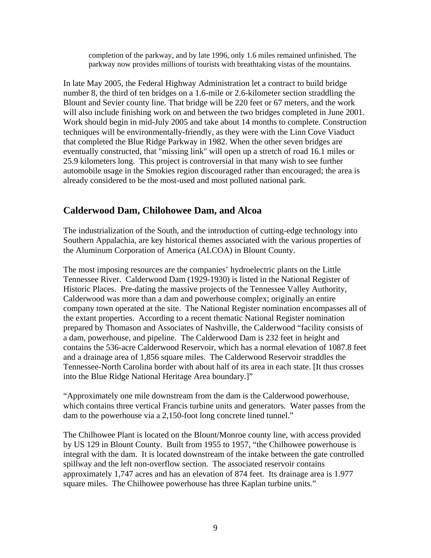completion of the parkway, and by late 1996, only 1.6 miles remained unfinished. The parkway now provides millions of tourists with breathtaking vistas of the mountains.

In late May 2005, the Federal Highway Administration let a contract to build bridge number 8, the third of ten bridges on a 1.6-mile or 2.6-kilometer section straddling the Blount and Sevier county line. That bridge will be 220 feet or 67 meters, and the work will also include finishing work on and between the two bridges completed in June 2001. Work should begin in mid-July 2005 and take about 14 months to complete. Construction techniques will be environmentally-friendly, as they were with the Linn Cove Viaduct that completed the Blue Ridge Parkway in 1982. When the other seven bridges are eventually constructed, that "missing link" will open up a stretch of road 16.1 miles or 25.9 kilometers long. This project is controversial in that many wish to see further automobile usage in the Smokies region discouraged rather than encouraged; the area is already considered to be the most-used and most polluted national park.

# **Calderwood Dam, Chilohowee Dam, and Alcoa**

The industrialization of the South, and the introduction of cutting-edge technology into Southern Appalachia, are key historical themes associated with the various properties of the Aluminum Corporation of America (ALCOA) in Blount County.

The most imposing resources are the companies' hydroelectric plants on the Little Tennessee River. Calderwood Dam (1929-1930) is listed in the National Register of Historic Places. Pre-dating the massive projects of the Tennessee Valley Authority, Calderwood was more than a dam and powerhouse complex; originally an entire company town operated at the site. The National Register nomination encompasses all of the extant properties. According to a recent thematic National Register nomination prepared by Thomason and Associates of Nashville, the Calderwood "facility consists of a dam, powerhouse, and pipeline. The Calderwood Dam is 232 feet in height and contains the 536-acre Calderwood Reservoir, which has a normal elevation of 1087.8 feet and a drainage area of 1,856 square miles. The Calderwood Reservoir straddles the Tennessee-North Carolina border with about half of its area in each state. [It thus crosses into the Blue Ridge National Heritage Area boundary.]"

"Approximately one mile downstream from the dam is the Calderwood powerhouse, which contains three vertical Francis turbine units and generators. Water passes from the dam to the powerhouse via a 2,150-foot long concrete lined tunnel."

The Chilhowee Plant is located on the Blount/Monroe county line, with access provided by US 129 in Blount County. Built from 1955 to 1957, "the Chilhowee powerhouse is integral with the dam. It is located downstream of the intake between the gate controlled spillway and the left non-overflow section. The associated reservoir contains approximately 1,747 acres and has an elevation of 874 feet. Its drainage area is 1.977 square miles. The Chilhowee powerhouse has three Kaplan turbine units."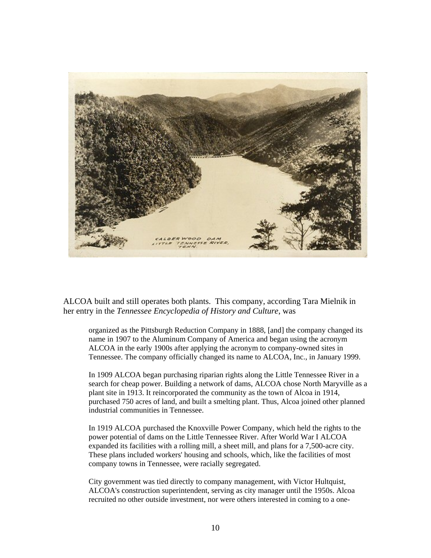

ALCOA built and still operates both plants. This company, according Tara Mielnik in her entry in the *Tennessee Encyclopedia of History and Culture*, was

organized as the Pittsburgh Reduction Company in 1888, [and] the company changed its name in 1907 to the Aluminum Company of America and began using the acronym ALCOA in the early 1900s after applying the acronym to company-owned sites in Tennessee. The company officially changed its name to ALCOA, Inc., in January 1999.

In 1909 ALCOA began purchasing riparian rights along the Little Tennessee River in a search for cheap power. Building a network of dams, ALCOA chose North Maryville as a plant site in 1913. It reincorporated the community as the town of Alcoa in 1914, purchased 750 acres of land, and built a smelting plant. Thus, Alcoa joined other planned industrial communities in Tennessee.

In 1919 ALCOA purchased the Knoxville Power Company, which held the rights to the power potential of dams on the Little Tennessee River. After World War I ALCOA expanded its facilities with a rolling mill, a sheet mill, and plans for a 7,500-acre city. These plans included workers' housing and schools, which, like the facilities of most company towns in Tennessee, were racially segregated.

City government was tied directly to company management, with Victor Hultquist, ALCOA's construction superintendent, serving as city manager until the 1950s. Alcoa recruited no other outside investment, nor were others interested in coming to a one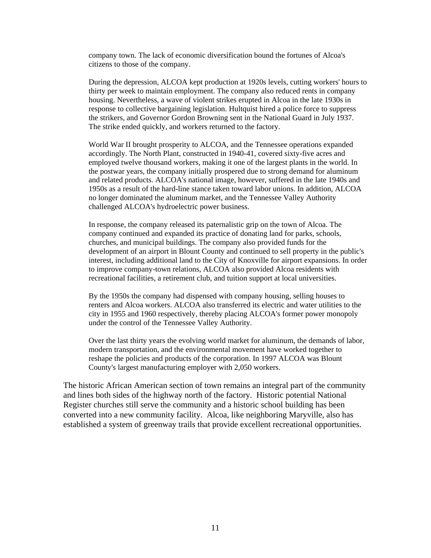company town. The lack of economic diversification bound the fortunes of Alcoa's citizens to those of the company.

During the depression, ALCOA kept production at 1920s levels, cutting workers' hours to thirty per week to maintain employment. The company also reduced rents in company housing. Nevertheless, a wave of violent strikes erupted in Alcoa in the late 1930s in response to collective bargaining legislation. Hultquist hired a police force to suppress the strikers, and Governor Gordon Browning sent in the National Guard in July 1937. The strike ended quickly, and workers returned to the factory.

World War II brought prosperity to ALCOA, and the Tennessee operations expanded accordingly. The North Plant, constructed in 1940-41, covered sixty-five acres and employed twelve thousand workers, making it one of the largest plants in the world. In the postwar years, the company initially prospered due to strong demand for aluminum and related products. ALCOA's national image, however, suffered in the late 1940s and 1950s as a result of the hard-line stance taken toward labor unions. In addition, ALCOA no longer dominated the aluminum market, and the Tennessee Valley Authority challenged ALCOA's hydroelectric power business.

In response, the company released its paternalistic grip on the town of Alcoa. The company continued and expanded its practice of donating land for parks, schools, churches, and municipal buildings. The company also provided funds for the development of an airport in Blount County and continued to sell property in the public's interest, including additional land to the City of Knoxville for airport expansions. In order to improve company-town relations, ALCOA also provided Alcoa residents with recreational facilities, a retirement club, and tuition support at local universities.

By the 1950s the company had dispensed with company housing, selling houses to renters and Alcoa workers. ALCOA also transferred its electric and water utilities to the city in 1955 and 1960 respectively, thereby placing ALCOA's former power monopoly under the control of the Tennessee Valley Authority.

Over the last thirty years the evolving world market for aluminum, the demands of labor, modern transportation, and the environmental movement have worked together to reshape the policies and products of the corporation. In 1997 ALCOA was Blount County's largest manufacturing employer with 2,050 workers.

The historic African American section of town remains an integral part of the community and lines both sides of the highway north of the factory. Historic potential National Register churches still serve the community and a historic school building has been converted into a new community facility. Alcoa, like neighboring Maryville, also has established a system of greenway trails that provide excellent recreational opportunities.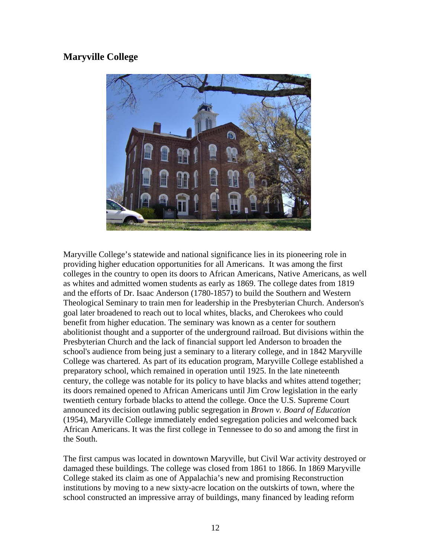# **Maryville College**



Maryville College's statewide and national significance lies in its pioneering role in providing higher education opportunities for all Americans. It was among the first colleges in the country to open its doors to African Americans, Native Americans, as well as whites and admitted women students as early as 1869. The college dates from 1819 and the efforts of Dr. Isaac Anderson (1780-1857) to build the Southern and Western Theological Seminary to train men for leadership in the Presbyterian Church. Anderson's goal later broadened to reach out to local whites, blacks, and Cherokees who could benefit from higher education. The seminary was known as a center for southern abolitionist thought and a supporter of the underground railroad. But divisions within the Presbyterian Church and the lack of financial support led Anderson to broaden the school's audience from being just a seminary to a literary college, and in 1842 Maryville College was chartered. As part of its education program, Maryville College established a preparatory school, which remained in operation until 1925. In the late nineteenth century, the college was notable for its policy to have blacks and whites attend together; its doors remained opened to African Americans until Jim Crow legislation in the early twentieth century forbade blacks to attend the college. Once the U.S. Supreme Court announced its decision outlawing public segregation in *Brown v. Board of Education* (1954), Maryville College immediately ended segregation policies and welcomed back African Americans. It was the first college in Tennessee to do so and among the first in the South.

The first campus was located in downtown Maryville, but Civil War activity destroyed or damaged these buildings. The college was closed from 1861 to 1866. In 1869 Maryville College staked its claim as one of Appalachia's new and promising Reconstruction institutions by moving to a new sixty-acre location on the outskirts of town, where the school constructed an impressive array of buildings, many financed by leading reform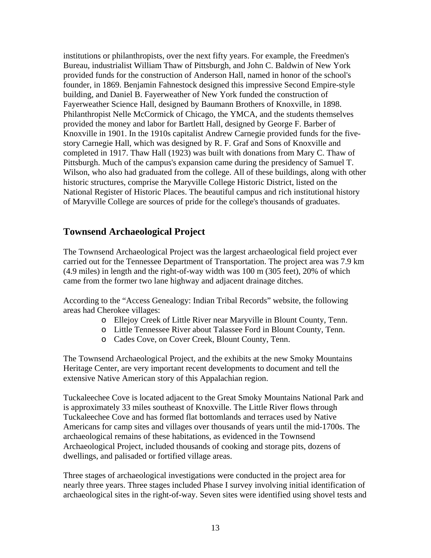institutions or philanthropists, over the next fifty years. For example, the Freedmen's Bureau, industrialist William Thaw of Pittsburgh, and John C. Baldwin of New York provided funds for the construction of Anderson Hall, named in honor of the school's founder, in 1869. Benjamin Fahnestock designed this impressive Second Empire-style building, and Daniel B. Fayerweather of New York funded the construction of Fayerweather Science Hall, designed by Baumann Brothers of Knoxville, in 1898. Philanthropist Nelle McCormick of Chicago, the YMCA, and the students themselves provided the money and labor for Bartlett Hall, designed by George F. Barber of Knoxville in 1901. In the 1910s capitalist Andrew Carnegie provided funds for the fivestory Carnegie Hall, which was designed by R. F. Graf and Sons of Knoxville and completed in 1917. Thaw Hall (1923) was built with donations from Mary C. Thaw of Pittsburgh. Much of the campus's expansion came during the presidency of Samuel T. Wilson, who also had graduated from the college. All of these buildings, along with other historic structures, comprise the Maryville College Historic District, listed on the National Register of Historic Places. The beautiful campus and rich institutional history of Maryville College are sources of pride for the college's thousands of graduates.

# **Townsend Archaeological Project**

The Townsend Archaeological Project was the largest archaeological field project ever carried out for the Tennessee Department of Transportation. The project area was 7.9 km (4.9 miles) in length and the right-of-way width was 100 m (305 feet), 20% of which came from the former two lane highway and adjacent drainage ditches.

According to the "Access Genealogy: Indian Tribal Records" website, the following areas had Cherokee villages:

- o Ellejoy Creek of Little River near Maryville in Blount County, Tenn.
- o Little Tennessee River about Talassee Ford in Blount County, Tenn.
- o Cades Cove, on Cover Creek, Blount County, Tenn.

The Townsend Archaeological Project, and the exhibits at the new Smoky Mountains Heritage Center, are very important recent developments to document and tell the extensive Native American story of this Appalachian region.

Tuckaleechee Cove is located adjacent to the Great Smoky Mountains National Park and is approximately 33 miles southeast of Knoxville. The Little River flows through Tuckaleechee Cove and has formed flat bottomlands and terraces used by Native Americans for camp sites and villages over thousands of years until the mid-1700s. The archaeological remains of these habitations, as evidenced in the Townsend Archaeological Project, included thousands of cooking and storage pits, dozens of dwellings, and palisaded or fortified village areas.

Three stages of archaeological investigations were conducted in the project area for nearly three years. Three stages included Phase I survey involving initial identification of archaeological sites in the right-of-way. Seven sites were identified using shovel tests and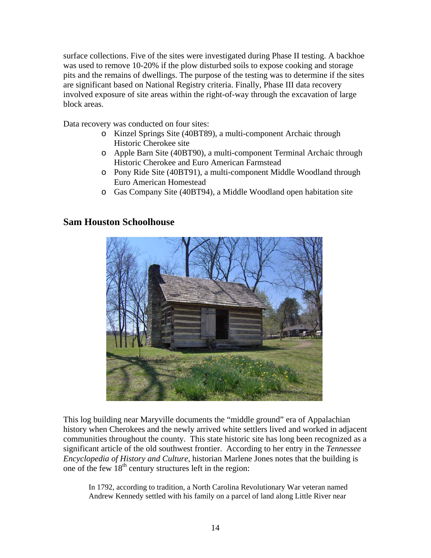surface collections. Five of the sites were investigated during Phase II testing. A backhoe was used to remove 10-20% if the plow disturbed soils to expose cooking and storage pits and the remains of dwellings. The purpose of the testing was to determine if the sites are significant based on National Registry criteria. Finally, Phase III data recovery involved exposure of site areas within the right-of-way through the excavation of large block areas.

Data recovery was conducted on four sites:

- o Kinzel Springs Site (40BT89), a multi-component Archaic through Historic Cherokee site
- o Apple Barn Site (40BT90), a multi-component Terminal Archaic through Historic Cherokee and Euro American Farmstead
- o Pony Ride Site (40BT91), a multi-component Middle Woodland through Euro American Homestead
- o Gas Company Site (40BT94), a Middle Woodland open habitation site

## **Sam Houston Schoolhouse**



This log building near Maryville documents the "middle ground" era of Appalachian history when Cherokees and the newly arrived white settlers lived and worked in adjacent communities throughout the county. This state historic site has long been recognized as a significant article of the old southwest frontier. According to her entry in the *Tennessee Encyclopedia of History and Culture*, historian Marlene Jones notes that the building is one of the few  $18<sup>th</sup>$  century structures left in the region:

In 1792, according to tradition, a North Carolina Revolutionary War veteran named Andrew Kennedy settled with his family on a parcel of land along Little River near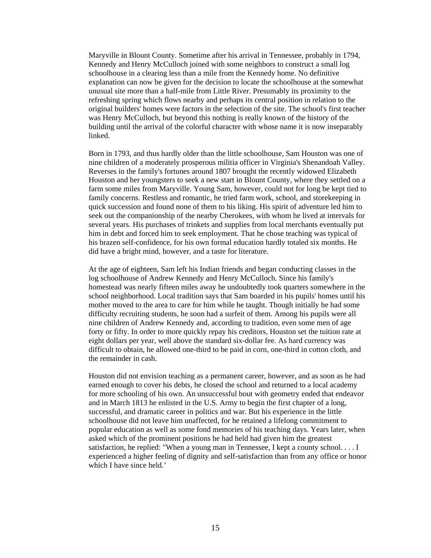Maryville in Blount County. Sometime after his arrival in Tennessee, probably in 1794, Kennedy and Henry McCulloch joined with some neighbors to construct a small log schoolhouse in a clearing less than a mile from the Kennedy home. No definitive explanation can now be given for the decision to locate the schoolhouse at the somewhat unusual site more than a half-mile from Little River. Presumably its proximity to the refreshing spring which flows nearby and perhaps its central position in relation to the original builders' homes were factors in the selection of the site. The school's first teacher was Henry McCulloch, but beyond this nothing is really known of the history of the building until the arrival of the colorful character with whose name it is now inseparably linked.

Born in 1793, and thus hardly older than the little schoolhouse, Sam Houston was one of nine children of a moderately prosperous militia officer in Virginia's Shenandoah Valley. Reverses in the family's fortunes around 1807 brought the recently widowed Elizabeth Houston and her youngsters to seek a new start in Blount County, where they settled on a farm some miles from Maryville. Young Sam, however, could not for long be kept tied to family concerns. Restless and romantic, he tried farm work, school, and storekeeping in quick succession and found none of them to his liking. His spirit of adventure led him to seek out the companionship of the nearby Cherokees, with whom he lived at intervals for several years. His purchases of trinkets and supplies from local merchants eventually put him in debt and forced him to seek employment. That he chose teaching was typical of his brazen self-confidence, for his own formal education hardly totaled six months. He did have a bright mind, however, and a taste for literature.

At the age of eighteen, Sam left his Indian friends and began conducting classes in the log schoolhouse of Andrew Kennedy and Henry McCulloch. Since his family's homestead was nearly fifteen miles away he undoubtedly took quarters somewhere in the school neighborhood. Local tradition says that Sam boarded in his pupils' homes until his mother moved to the area to care for him while he taught. Though initially he had some difficulty recruiting students, he soon had a surfeit of them. Among his pupils were all nine children of Andrew Kennedy and, according to tradition, even some men of age forty or fifty. In order to more quickly repay his creditors, Houston set the tuition rate at eight dollars per year, well above the standard six-dollar fee. As hard currency was difficult to obtain, he allowed one-third to be paid in corn, one-third in cotton cloth, and the remainder in cash.

Houston did not envision teaching as a permanent career, however, and as soon as he had earned enough to cover his debts, he closed the school and returned to a local academy for more schooling of his own. An unsuccessful bout with geometry ended that endeavor and in March 1813 he enlisted in the U.S. Army to begin the first chapter of a long, successful, and dramatic career in politics and war. But his experience in the little schoolhouse did not leave him unaffected, for he retained a lifelong commitment to popular education as well as some fond memories of his teaching days. Years later, when asked which of the prominent positions he had held had given him the greatest satisfaction, he replied: "When a young man in Tennessee, I kept a county school. . . . I experienced a higher feeling of dignity and self-satisfaction than from any office or honor which I have since held.'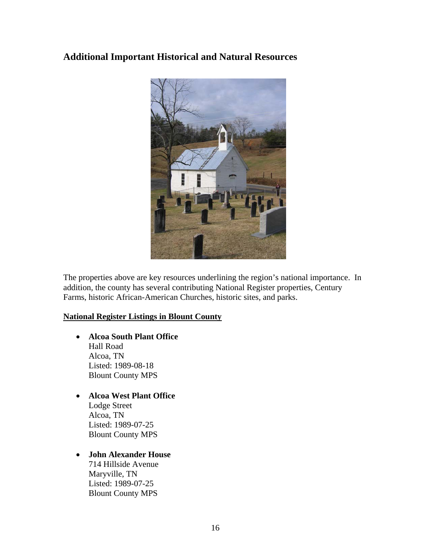# **Additional Important Historical and Natural Resources**



The properties above are key resources underlining the region's national importance. In addition, the county has several contributing National Register properties, Century Farms, historic African-American Churches, historic sites, and parks.

#### **National Register Listings in Blount County**

- **Alcoa South Plant Office**  Hall Road Alcoa, TN Listed: 1989-08-18 Blount County MPS
- **Alcoa West Plant Office**  Lodge Street Alcoa, TN Listed: 1989-07-25 Blount County MPS

#### • **John Alexander House**

714 Hillside Avenue Maryville, TN Listed: 1989-07-25 Blount County MPS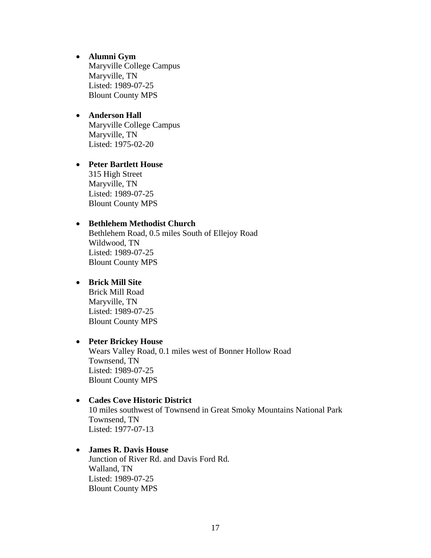- **Alumni Gym**  Maryville College Campus Maryville, TN Listed: 1989-07-25 Blount County MPS
- **Anderson Hall**  Maryville College Campus Maryville, TN Listed: 1975-02-20
- **Peter Bartlett House**  315 High Street Maryville, TN Listed: 1989-07-25 Blount County MPS

#### • **Bethlehem Methodist Church**

Bethlehem Road, 0.5 miles South of Ellejoy Road Wildwood, TN Listed: 1989-07-25 Blount County MPS

## • **Brick Mill Site**

Brick Mill Road Maryville, TN Listed: 1989-07-25 Blount County MPS

#### • **Peter Brickey House**

Wears Valley Road, 0.1 miles west of Bonner Hollow Road Townsend, TN Listed: 1989-07-25 Blount County MPS

#### • **Cades Cove Historic District**

10 miles southwest of Townsend in Great Smoky Mountains National Park Townsend, TN Listed: 1977-07-13

#### • **James R. Davis House**

Junction of River Rd. and Davis Ford Rd. Walland, TN Listed: 1989-07-25 Blount County MPS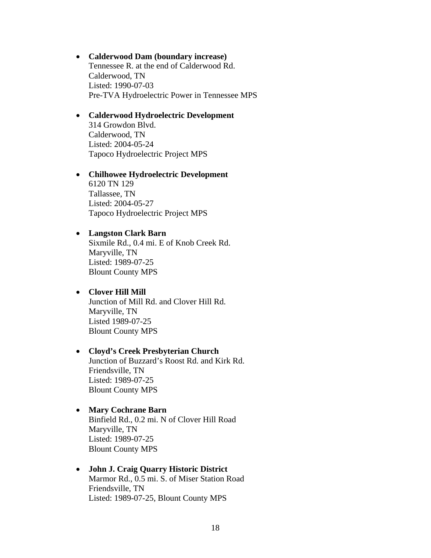- **Calderwood Dam (boundary increase)**  Tennessee R. at the end of Calderwood Rd. Calderwood, TN Listed: 1990-07-03 Pre-TVA Hydroelectric Power in Tennessee MPS
- **Calderwood Hydroelectric Development**  314 Growdon Blvd. Calderwood, TN Listed: 2004-05-24 Tapoco Hydroelectric Project MPS
- **Chilhowee Hydroelectric Development**  6120 TN 129 Tallassee, TN Listed: 2004-05-27 Tapoco Hydroelectric Project MPS

#### • **Langston Clark Barn**

Sixmile Rd., 0.4 mi. E of Knob Creek Rd. Maryville, TN Listed: 1989-07-25 Blount County MPS

#### • **Clover Hill Mill**

Junction of Mill Rd. and Clover Hill Rd. Maryville, TN Listed 1989-07-25 Blount County MPS

• **Cloyd's Creek Presbyterian Church**  Junction of Buzzard's Roost Rd. and Kirk Rd. Friendsville, TN Listed: 1989-07-25 Blount County MPS

#### • **Mary Cochrane Barn**

Binfield Rd., 0.2 mi. N of Clover Hill Road Maryville, TN Listed: 1989-07-25 Blount County MPS

# • **John J. Craig Quarry Historic District**

Marmor Rd., 0.5 mi. S. of Miser Station Road Friendsville, TN Listed: 1989-07-25, Blount County MPS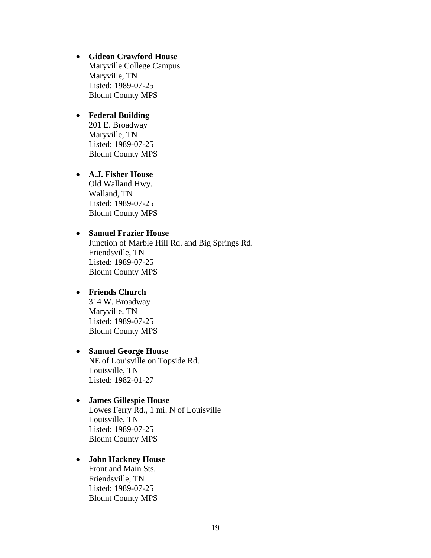• **Gideon Crawford House**  Maryville College Campus Maryville, TN Listed: 1989-07-25 Blount County MPS

#### • **Federal Building**  201 E. Broadway Maryville, TN Listed: 1989-07-25 Blount County MPS

## • **A.J. Fisher House**  Old Walland Hwy. Walland, TN Listed: 1989-07-25 Blount County MPS

## • **Samuel Frazier House**

Junction of Marble Hill Rd. and Big Springs Rd. Friendsville, TN Listed: 1989-07-25 Blount County MPS

## • **Friends Church**

314 W. Broadway Maryville, TN Listed: 1989-07-25 Blount County MPS

# • **Samuel George House**

NE of Louisville on Topside Rd. Louisville, TN Listed: 1982-01-27

#### • **James Gillespie House**

Lowes Ferry Rd., 1 mi. N of Louisville Louisville, TN Listed: 1989-07-25 Blount County MPS

#### • **John Hackney House**

Front and Main Sts. Friendsville, TN Listed: 1989-07-25 Blount County MPS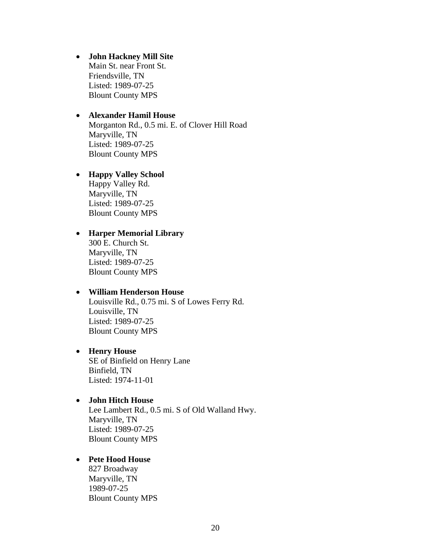• **John Hackney Mill Site**  Main St. near Front St. Friendsville, TN Listed: 1989-07-25 Blount County MPS

#### • **Alexander Hamil House**  Morganton Rd., 0.5 mi. E. of Clover Hill Road Maryville, TN Listed: 1989-07-25 Blount County MPS

## • **Happy Valley School**  Happy Valley Rd. Maryville, TN Listed: 1989-07-25 Blount County MPS

#### • **Harper Memorial Library**  300 E. Church St. Maryville, TN Listed: 1989-07-25 Blount County MPS

#### • **William Henderson House**

Louisville Rd., 0.75 mi. S of Lowes Ferry Rd. Louisville, TN Listed: 1989-07-25 Blount County MPS

#### • **Henry House**  SE of Binfield on Henry Lane Binfield, TN Listed: 1974-11-01

#### • **John Hitch House**

Lee Lambert Rd., 0.5 mi. S of Old Walland Hwy. Maryville, TN Listed: 1989-07-25 Blount County MPS

#### • **Pete Hood House**

827 Broadway Maryville, TN 1989-07-25 Blount County MPS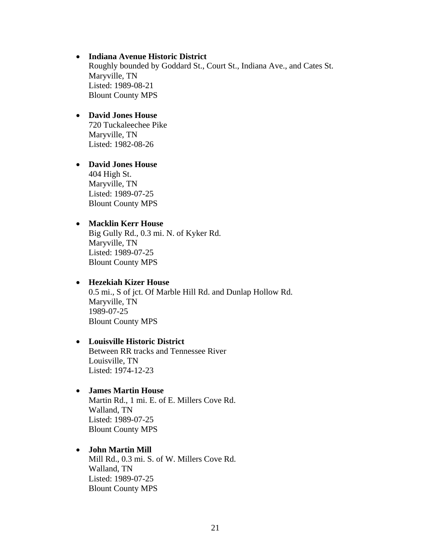#### • **Indiana Avenue Historic District**

Roughly bounded by Goddard St., Court St., Indiana Ave., and Cates St. Maryville, TN Listed: 1989-08-21 Blount County MPS

- **David Jones House**  720 Tuckaleechee Pike Maryville, TN Listed: 1982-08-26
- **David Jones House**  404 High St. Maryville, TN Listed: 1989-07-25 Blount County MPS

#### • **Macklin Kerr House**

Big Gully Rd., 0.3 mi. N. of Kyker Rd. Maryville, TN Listed: 1989-07-25 Blount County MPS

#### • **Hezekiah Kizer House**

0.5 mi., S of jct. Of Marble Hill Rd. and Dunlap Hollow Rd. Maryville, TN 1989-07-25 Blount County MPS

#### • **Louisville Historic District**

Between RR tracks and Tennessee River Louisville, TN Listed: 1974-12-23

## • **James Martin House**

Martin Rd., 1 mi. E. of E. Millers Cove Rd. Walland, TN Listed: 1989-07-25 Blount County MPS

#### • **John Martin Mill**

Mill Rd., 0.3 mi. S. of W. Millers Cove Rd. Walland, TN Listed: 1989-07-25 Blount County MPS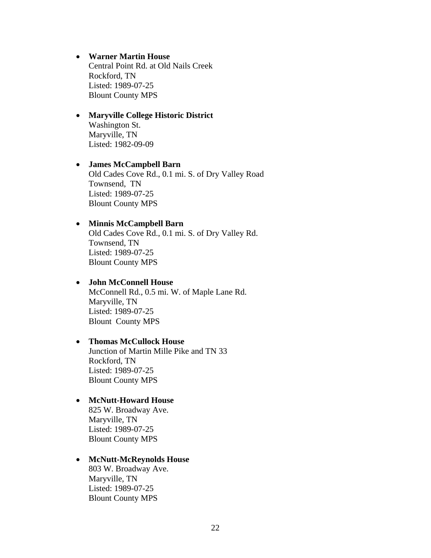- **Warner Martin House**  Central Point Rd. at Old Nails Creek Rockford, TN Listed: 1989-07-25 Blount County MPS
- **Maryville College Historic District**  Washington St. Maryville, TN Listed: 1982-09-09
- **James McCampbell Barn**  Old Cades Cove Rd., 0.1 mi. S. of Dry Valley Road Townsend, TN Listed: 1989-07-25 Blount County MPS

#### • **Minnis McCampbell Barn**

Old Cades Cove Rd., 0.1 mi. S. of Dry Valley Rd. Townsend, TN Listed: 1989-07-25 Blount County MPS

#### • **John McConnell House**

McConnell Rd., 0.5 mi. W. of Maple Lane Rd. Maryville, TN Listed: 1989-07-25 Blount County MPS

## • **Thomas McCullock House**

Junction of Martin Mille Pike and TN 33 Rockford, TN Listed: 1989-07-25 Blount County MPS

## • **McNutt-Howard House**

825 W. Broadway Ave. Maryville, TN Listed: 1989-07-25 Blount County MPS

#### • **McNutt-McReynolds House**

803 W. Broadway Ave. Maryville, TN Listed: 1989-07-25 Blount County MPS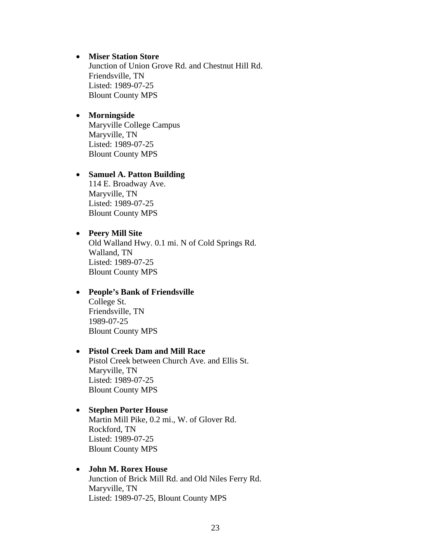#### • **Miser Station Store**

Junction of Union Grove Rd. and Chestnut Hill Rd. Friendsville, TN Listed: 1989-07-25 Blount County MPS

#### • **Morningside**  Maryville College Campus Maryville, TN Listed: 1989-07-25 Blount County MPS

#### • **Samuel A. Patton Building**  114 E. Broadway Ave. Maryville, TN Listed: 1989-07-25 Blount County MPS

#### • **Peery Mill Site**

Old Walland Hwy. 0.1 mi. N of Cold Springs Rd. Walland, TN Listed: 1989-07-25 Blount County MPS

#### • **People's Bank of Friendsville**

College St. Friendsville, TN 1989-07-25 Blount County MPS

#### • **Pistol Creek Dam and Mill Race**

Pistol Creek between Church Ave. and Ellis St. Maryville, TN Listed: 1989-07-25 Blount County MPS

#### • **Stephen Porter House**

Martin Mill Pike, 0.2 mi., W. of Glover Rd. Rockford, TN Listed: 1989-07-25 Blount County MPS

## • **John M. Rorex House**

Junction of Brick Mill Rd. and Old Niles Ferry Rd. Maryville, TN Listed: 1989-07-25, Blount County MPS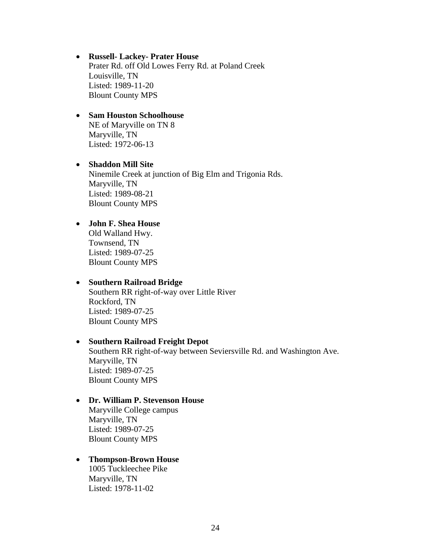#### • **Russell- Lackey- Prater House**  Prater Rd. off Old Lowes Ferry Rd. at Poland Creek Louisville, TN Listed: 1989-11-20 Blount County MPS

#### • **Sam Houston Schoolhouse**  NE of Maryville on TN 8 Maryville, TN Listed: 1972-06-13

# • **Shaddon Mill Site**

Ninemile Creek at junction of Big Elm and Trigonia Rds. Maryville, TN Listed: 1989-08-21 Blount County MPS

## • **John F. Shea House**

Old Walland Hwy. Townsend, TN Listed: 1989-07-25 Blount County MPS

## • **Southern Railroad Bridge**

Southern RR right-of-way over Little River Rockford, TN Listed: 1989-07-25 Blount County MPS

## • **Southern Railroad Freight Depot**

Southern RR right-of-way between Seviersville Rd. and Washington Ave. Maryville, TN Listed: 1989-07-25 Blount County MPS

#### • **Dr. William P. Stevenson House**

Maryville College campus Maryville, TN Listed: 1989-07-25 Blount County MPS

#### • **Thompson-Brown House**

1005 Tuckleechee Pike Maryville, TN Listed: 1978-11-02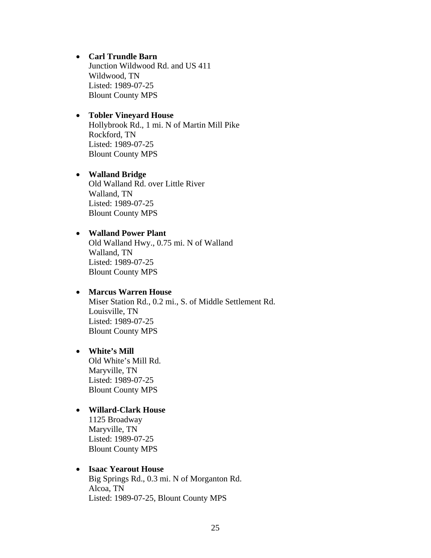- **Carl Trundle Barn**  Junction Wildwood Rd. and US 411 Wildwood, TN Listed: 1989-07-25 Blount County MPS
- **Tobler Vineyard House**  Hollybrook Rd., 1 mi. N of Martin Mill Pike Rockford, TN Listed: 1989-07-25 Blount County MPS
- **Walland Bridge**  Old Walland Rd. over Little River Walland, TN Listed: 1989-07-25 Blount County MPS

#### • **Walland Power Plant**

Old Walland Hwy., 0.75 mi. N of Walland Walland, TN Listed: 1989-07-25 Blount County MPS

## • **Marcus Warren House**

Miser Station Rd., 0.2 mi., S. of Middle Settlement Rd. Louisville, TN Listed: 1989-07-25 Blount County MPS

#### • **White's Mill**

Old White's Mill Rd. Maryville, TN Listed: 1989-07-25 Blount County MPS

## • **Willard-Clark House**

1125 Broadway Maryville, TN Listed: 1989-07-25 Blount County MPS

## • **Isaac Yearout House**

Big Springs Rd., 0.3 mi. N of Morganton Rd. Alcoa, TN Listed: 1989-07-25, Blount County MPS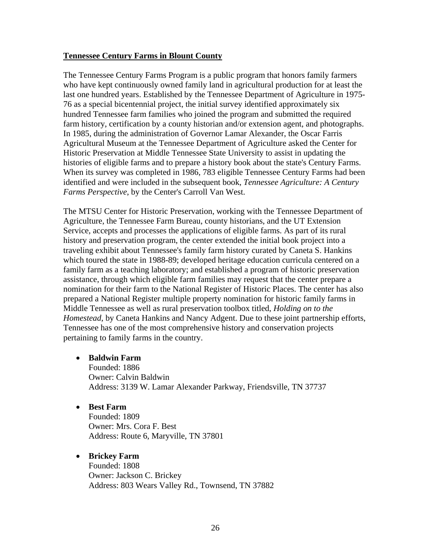#### **Tennessee Century Farms in Blount County**

The Tennessee Century Farms Program is a public program that honors family farmers who have kept continuously owned family land in agricultural production for at least the last one hundred years. Established by the Tennessee Department of Agriculture in 1975- 76 as a special bicentennial project, the initial survey identified approximately six hundred Tennessee farm families who joined the program and submitted the required farm history, certification by a county historian and/or extension agent, and photographs. In 1985, during the administration of Governor Lamar Alexander, the Oscar Farris Agricultural Museum at the Tennessee Department of Agriculture asked the Center for Historic Preservation at Middle Tennessee State University to assist in updating the histories of eligible farms and to prepare a history book about the state's Century Farms. When its survey was completed in 1986, 783 eligible Tennessee Century Farms had been identified and were included in the subsequent book, *Tennessee Agriculture: A Century Farms Perspective*, by the Center's Carroll Van West.

The MTSU Center for Historic Preservation, working with the Tennessee Department of Agriculture, the Tennessee Farm Bureau, county historians, and the UT Extension Service, accepts and processes the applications of eligible farms. As part of its rural history and preservation program, the center extended the initial book project into a traveling exhibit about Tennessee's family farm history curated by Caneta S. Hankins which toured the state in 1988-89; developed heritage education curricula centered on a family farm as a teaching laboratory; and established a program of historic preservation assistance, through which eligible farm families may request that the center prepare a nomination for their farm to the National Register of Historic Places. The center has also prepared a National Register multiple property nomination for historic family farms in Middle Tennessee as well as rural preservation toolbox titled, *Holding on to the Homestead*, by Caneta Hankins and Nancy Adgent. Due to these joint partnership efforts, Tennessee has one of the most comprehensive history and conservation projects pertaining to family farms in the country.

#### • **Baldwin Farm**

Founded: 1886 Owner: Calvin Baldwin Address: 3139 W. Lamar Alexander Parkway, Friendsville, TN 37737

#### • **Best Farm**

Founded: 1809 Owner: Mrs. Cora F. Best Address: Route 6, Maryville, TN 37801

## • **Brickey Farm**

Founded: 1808 Owner: Jackson C. Brickey Address: 803 Wears Valley Rd., Townsend, TN 37882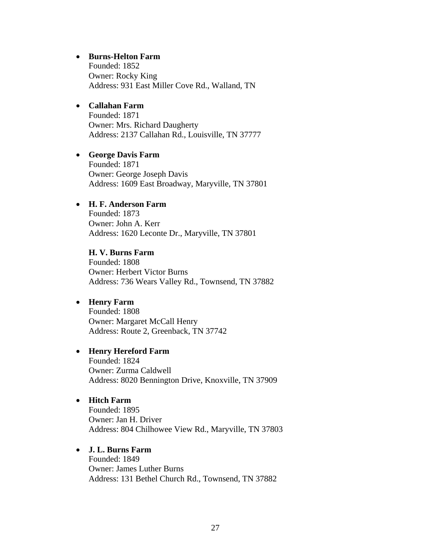#### • **Burns-Helton Farm**

Founded: 1852 Owner: Rocky King Address: 931 East Miller Cove Rd., Walland, TN

## • **Callahan Farm**

Founded: 1871 Owner: Mrs. Richard Daugherty Address: 2137 Callahan Rd., Louisville, TN 37777

#### • **George Davis Farm**

Founded: 1871 Owner: George Joseph Davis Address: 1609 East Broadway, Maryville, TN 37801

#### • **H. F. Anderson Farm**

Founded: 1873 Owner: John A. Kerr Address: 1620 Leconte Dr., Maryville, TN 37801

**H. V. Burns Farm**  Founded: 1808 Owner: Herbert Victor Burns Address: 736 Wears Valley Rd., Townsend, TN 37882

#### • **Henry Farm**

Founded: 1808 Owner: Margaret McCall Henry Address: Route 2, Greenback, TN 37742

#### • **Henry Hereford Farm**

Founded: 1824 Owner: Zurma Caldwell Address: 8020 Bennington Drive, Knoxville, TN 37909

#### • **Hitch Farm**

Founded: 1895 Owner: Jan H. Driver Address: 804 Chilhowee View Rd., Maryville, TN 37803

## • **J. L. Burns Farm**

Founded: 1849 Owner: James Luther Burns Address: 131 Bethel Church Rd., Townsend, TN 37882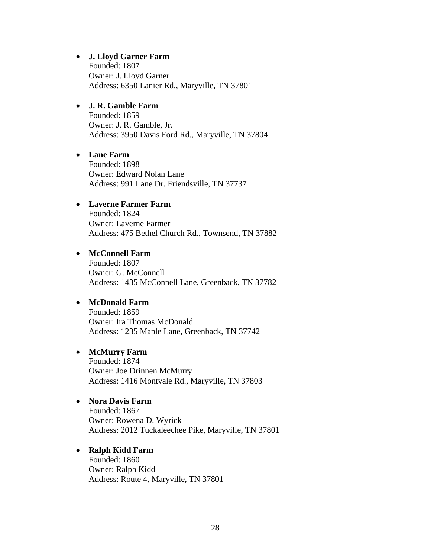#### • **J. Lloyd Garner Farm**

Founded: 1807 Owner: J. Lloyd Garner Address: 6350 Lanier Rd., Maryville, TN 37801

## • **J. R. Gamble Farm**

Founded: 1859 Owner: J. R. Gamble, Jr. Address: 3950 Davis Ford Rd., Maryville, TN 37804

#### • **Lane Farm**

Founded: 1898 Owner: Edward Nolan Lane Address: 991 Lane Dr. Friendsville, TN 37737

#### • **Laverne Farmer Farm**

Founded: 1824 Owner: Laverne Farmer Address: 475 Bethel Church Rd., Townsend, TN 37882

## • **McConnell Farm**

Founded: 1807 Owner: G. McConnell Address: 1435 McConnell Lane, Greenback, TN 37782

#### • **McDonald Farm**

Founded: 1859 Owner: Ira Thomas McDonald Address: 1235 Maple Lane, Greenback, TN 37742

#### • **McMurry Farm**

Founded: 1874 Owner: Joe Drinnen McMurry Address: 1416 Montvale Rd., Maryville, TN 37803

#### • **Nora Davis Farm**

Founded: 1867 Owner: Rowena D. Wyrick Address: 2012 Tuckaleechee Pike, Maryville, TN 37801

#### • **Ralph Kidd Farm**  Founded: 1860

Owner: Ralph Kidd Address: Route 4, Maryville, TN 37801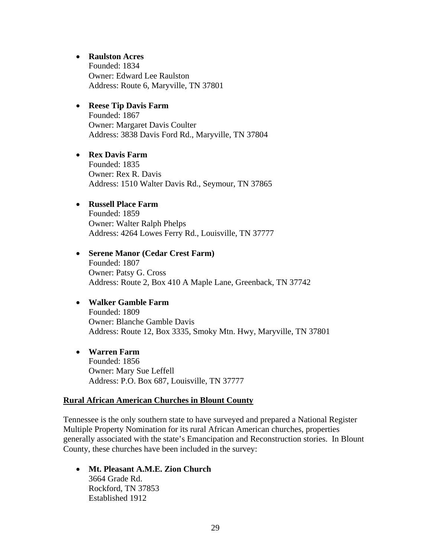#### • **Raulston Acres**

Founded: 1834 Owner: Edward Lee Raulston Address: Route 6, Maryville, TN 37801

## • **Reese Tip Davis Farm**

Founded: 1867 Owner: Margaret Davis Coulter Address: 3838 Davis Ford Rd., Maryville, TN 37804

## • **Rex Davis Farm**

Founded: 1835 Owner: Rex R. Davis Address: 1510 Walter Davis Rd., Seymour, TN 37865

## • **Russell Place Farm**

Founded: 1859 Owner: Walter Ralph Phelps Address: 4264 Lowes Ferry Rd., Louisville, TN 37777

## • **Serene Manor (Cedar Crest Farm)**  Founded: 1807 Owner: Patsy G. Cross Address: Route 2, Box 410 A Maple Lane, Greenback, TN 37742

## • **Walker Gamble Farm**  Founded: 1809 Owner: Blanche Gamble Davis Address: Route 12, Box 3335, Smoky Mtn. Hwy, Maryville, TN 37801

• **Warren Farm**  Founded: 1856 Owner: Mary Sue Leffell Address: P.O. Box 687, Louisville, TN 37777

#### **Rural African American Churches in Blount County**

Tennessee is the only southern state to have surveyed and prepared a National Register Multiple Property Nomination for its rural African American churches, properties generally associated with the state's Emancipation and Reconstruction stories. In Blount County, these churches have been included in the survey:

• **Mt. Pleasant A.M.E. Zion Church**  3664 Grade Rd. Rockford, TN 37853 Established 1912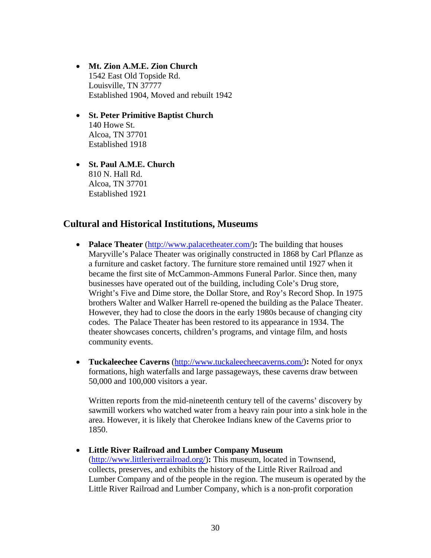- **Mt. Zion A.M.E. Zion Church**  1542 East Old Topside Rd. Louisville, TN 37777 Established 1904, Moved and rebuilt 1942
- **St. Peter Primitive Baptist Church**  140 Howe St. Alcoa, TN 37701 Established 1918
- **St. Paul A.M.E. Church**  810 N. Hall Rd. Alcoa, TN 37701 Established 1921

# **Cultural and Historical Institutions, Museums**

- **Palace Theater** (http://www.palacetheater.com/): The building that houses Maryville's Palace Theater was originally constructed in 1868 by Carl Pflanze as a furniture and casket factory. The furniture store remained until 1927 when it became the first site of McCammon-Ammons Funeral Parlor. Since then, many businesses have operated out of the building, including Cole's Drug store, Wright's Five and Dime store, the Dollar Store, and Roy's Record Shop. In 1975 brothers Walter and Walker Harrell re-opened the building as the Palace Theater. However, they had to close the doors in the early 1980s because of changing city codes. The Palace Theater has been restored to its appearance in 1934. The theater showcases concerts, children's programs, and vintage film, and hosts community events.
- **Tuckaleechee Caverns** (http://www.tuckaleecheecaverns.com/)**:** Noted for onyx formations, high waterfalls and large passageways, these caverns draw between 50,000 and 100,000 visitors a year.

Written reports from the mid-nineteenth century tell of the caverns' discovery by sawmill workers who watched water from a heavy rain pour into a sink hole in the area. However, it is likely that Cherokee Indians knew of the Caverns prior to 1850.

#### • **Little River Railroad and Lumber Company Museum**

(http://www.littleriverrailroad.org/)**:** This museum, located in Townsend, collects, preserves, and exhibits the history of the Little River Railroad and Lumber Company and of the people in the region. The museum is operated by the Little River Railroad and Lumber Company, which is a non-profit corporation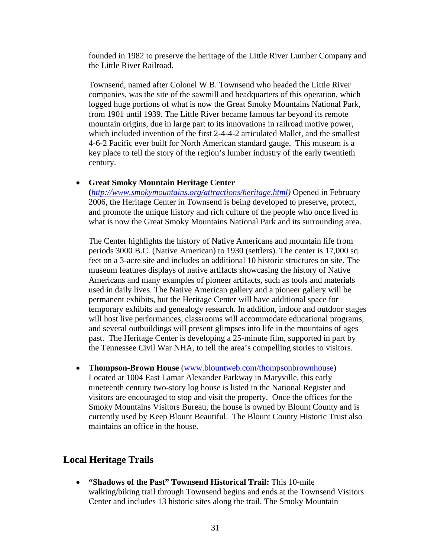founded in 1982 to preserve the heritage of the Little River Lumber Company and the Little River Railroad.

Townsend, named after Colonel W.B. Townsend who headed the Little River companies, was the site of the sawmill and headquarters of this operation, which logged huge portions of what is now the Great Smoky Mountains National Park, from 1901 until 1939. The Little River became famous far beyond its remote mountain origins, due in large part to its innovations in railroad motive power, which included invention of the first 2-4-4-2 articulated Mallet, and the smallest 4-6-2 Pacific ever built for North American standard gauge. This museum is a key place to tell the story of the region's lumber industry of the early twentieth century.

## • **Great Smoky Mountain Heritage Center**

**(***http://www.smokymountains.org/attractions/heritage.html)* Opened in February 2006, the Heritage Center in Townsend is being developed to preserve, protect, and promote the unique history and rich culture of the people who once lived in what is now the Great Smoky Mountains National Park and its surrounding area.

The Center highlights the history of Native Americans and mountain life from periods 3000 B.C. (Native American) to 1930 (settlers). The center is 17,000 sq. feet on a 3-acre site and includes an additional 10 historic structures on site. The museum features displays of native artifacts showcasing the history of Native Americans and many examples of pioneer artifacts, such as tools and materials used in daily lives. The Native American gallery and a pioneer gallery will be permanent exhibits, but the Heritage Center will have additional space for temporary exhibits and genealogy research. In addition, indoor and outdoor stages will host live performances, classrooms will accommodate educational programs, and several outbuildings will present glimpses into life in the mountains of ages past. The Heritage Center is developing a 25-minute film, supported in part by the Tennessee Civil War NHA, to tell the area's compelling stories to visitors.

• **Thompson-Brown House** (www.blountweb.com/thompsonbrownhouse) Located at 1004 East Lamar Alexander Parkway in Maryville, this early nineteenth century two-story log house is listed in the National Register and visitors are encouraged to stop and visit the property. Once the offices for the Smoky Mountains Visitors Bureau, the house is owned by Blount County and is currently used by Keep Blount Beautiful. The Blount County Historic Trust also maintains an office in the house.

# **Local Heritage Trails**

• **"Shadows of the Past" Townsend Historical Trail:** This 10-mile walking/biking trail through Townsend begins and ends at the Townsend Visitors Center and includes 13 historic sites along the trail. The Smoky Mountain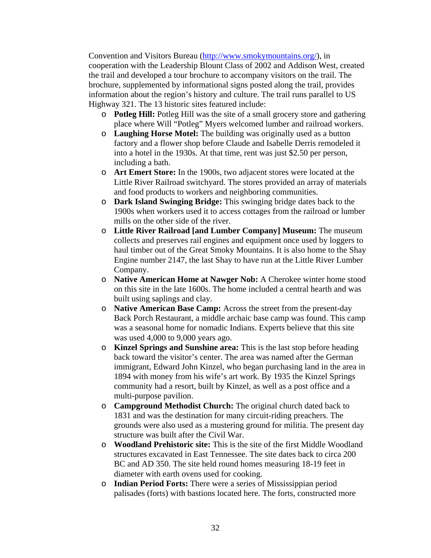Convention and Visitors Bureau (http://www.smokymountains.org/), in cooperation with the Leadership Blount Class of 2002 and Addison West, created the trail and developed a tour brochure to accompany visitors on the trail. The brochure, supplemented by informational signs posted along the trail, provides information about the region's history and culture. The trail runs parallel to US Highway 321. The 13 historic sites featured include:

- o **Potleg Hill:** Potleg Hill was the site of a small grocery store and gathering place where Will "Potleg" Myers welcomed lumber and railroad workers.
- o **Laughing Horse Motel:** The building was originally used as a button factory and a flower shop before Claude and Isabelle Derris remodeled it into a hotel in the 1930s. At that time, rent was just \$2.50 per person, including a bath.
- o **Art Emert Store:** In the 1900s, two adjacent stores were located at the Little River Railroad switchyard. The stores provided an array of materials and food products to workers and neighboring communities.
- o **Dark Island Swinging Bridge:** This swinging bridge dates back to the 1900s when workers used it to access cottages from the railroad or lumber mills on the other side of the river.
- o **Little River Railroad [and Lumber Company] Museum:** The museum collects and preserves rail engines and equipment once used by loggers to haul timber out of the Great Smoky Mountains. It is also home to the Shay Engine number 2147, the last Shay to have run at the Little River Lumber Company.
- o **Native American Home at Nawger Nob:** A Cherokee winter home stood on this site in the late 1600s. The home included a central hearth and was built using saplings and clay.
- o **Native American Base Camp:** Across the street from the present-day Back Porch Restaurant, a middle archaic base camp was found. This camp was a seasonal home for nomadic Indians. Experts believe that this site was used 4,000 to 9,000 years ago.
- o **Kinzel Springs and Sunshine area:** This is the last stop before heading back toward the visitor's center. The area was named after the German immigrant, Edward John Kinzel, who began purchasing land in the area in 1894 with money from his wife's art work. By 1935 the Kinzel Springs community had a resort, built by Kinzel, as well as a post office and a multi-purpose pavilion.
- o **Campground Methodist Church:** The original church dated back to 1831 and was the destination for many circuit-riding preachers. The grounds were also used as a mustering ground for militia. The present day structure was built after the Civil War.
- o **Woodland Prehistoric site:** This is the site of the first Middle Woodland structures excavated in East Tennessee. The site dates back to circa 200 BC and AD 350. The site held round homes measuring 18-19 feet in diameter with earth ovens used for cooking.
- o **Indian Period Forts:** There were a series of Mississippian period palisades (forts) with bastions located here. The forts, constructed more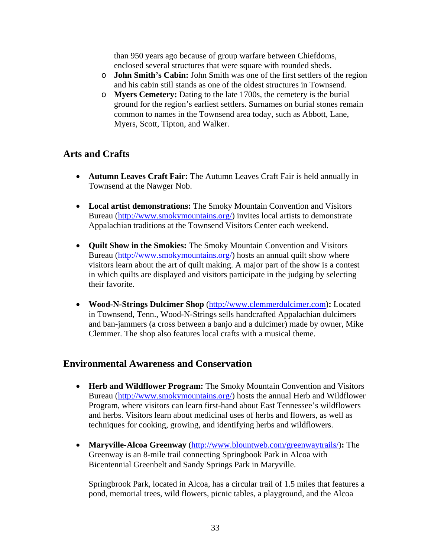than 950 years ago because of group warfare between Chiefdoms, enclosed several structures that were square with rounded sheds.

- o **John Smith's Cabin:** John Smith was one of the first settlers of the region and his cabin still stands as one of the oldest structures in Townsend.
- o **Myers Cemetery:** Dating to the late 1700s, the cemetery is the burial ground for the region's earliest settlers. Surnames on burial stones remain common to names in the Townsend area today, such as Abbott, Lane, Myers, Scott, Tipton, and Walker.

# **Arts and Crafts**

- **Autumn Leaves Craft Fair:** The Autumn Leaves Craft Fair is held annually in Townsend at the Nawger Nob.
- **Local artist demonstrations:** The Smoky Mountain Convention and Visitors Bureau (http://www.smokymountains.org/) invites local artists to demonstrate Appalachian traditions at the Townsend Visitors Center each weekend.
- **Quilt Show in the Smokies:** The Smoky Mountain Convention and Visitors Bureau (http://www.smokymountains.org/) hosts an annual quilt show where visitors learn about the art of quilt making. A major part of the show is a contest in which quilts are displayed and visitors participate in the judging by selecting their favorite.
- **Wood-N-Strings Dulcimer Shop** (http://www.clemmerdulcimer.com)**:** Located in Townsend, Tenn., Wood-N-Strings sells handcrafted Appalachian dulcimers and ban-jammers (a cross between a banjo and a dulcimer) made by owner, Mike Clemmer. The shop also features local crafts with a musical theme.

# **Environmental Awareness and Conservation**

- **Herb and Wildflower Program:** The Smoky Mountain Convention and Visitors Bureau (http://www.smokymountains.org/) hosts the annual Herb and Wildflower Program, where visitors can learn first-hand about East Tennessee's wildflowers and herbs. Visitors learn about medicinal uses of herbs and flowers, as well as techniques for cooking, growing, and identifying herbs and wildflowers.
- **Maryville-Alcoa Greenway** (http://www.blountweb.com/greenwaytrails/)**:** The Greenway is an 8-mile trail connecting Springbook Park in Alcoa with Bicentennial Greenbelt and Sandy Springs Park in Maryville.

Springbrook Park, located in Alcoa, has a circular trail of 1.5 miles that features a pond, memorial trees, wild flowers, picnic tables, a playground, and the Alcoa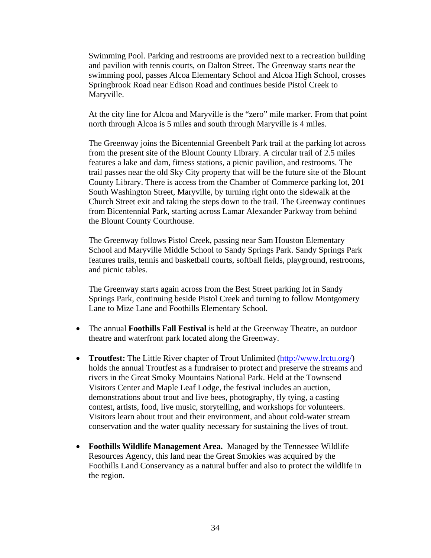Swimming Pool. Parking and restrooms are provided next to a recreation building and pavilion with tennis courts, on Dalton Street. The Greenway starts near the swimming pool, passes Alcoa Elementary School and Alcoa High School, crosses Springbrook Road near Edison Road and continues beside Pistol Creek to Maryville.

At the city line for Alcoa and Maryville is the "zero" mile marker. From that point north through Alcoa is 5 miles and south through Maryville is 4 miles.

The Greenway joins the Bicentennial Greenbelt Park trail at the parking lot across from the present site of the Blount County Library. A circular trail of 2.5 miles features a lake and dam, fitness stations, a picnic pavilion, and restrooms. The trail passes near the old Sky City property that will be the future site of the Blount County Library. There is access from the Chamber of Commerce parking lot, 201 South Washington Street, Maryville, by turning right onto the sidewalk at the Church Street exit and taking the steps down to the trail. The Greenway continues from Bicentennial Park, starting across Lamar Alexander Parkway from behind the Blount County Courthouse.

The Greenway follows Pistol Creek, passing near Sam Houston Elementary School and Maryville Middle School to Sandy Springs Park. Sandy Springs Park features trails, tennis and basketball courts, softball fields, playground, restrooms, and picnic tables.

The Greenway starts again across from the Best Street parking lot in Sandy Springs Park, continuing beside Pistol Creek and turning to follow Montgomery Lane to Mize Lane and Foothills Elementary School.

- The annual **Foothills Fall Festival** is held at the Greenway Theatre, an outdoor theatre and waterfront park located along the Greenway.
- **Troutfest:** The Little River chapter of Trout Unlimited (http://www.lrctu.org/) holds the annual Troutfest as a fundraiser to protect and preserve the streams and rivers in the Great Smoky Mountains National Park. Held at the Townsend Visitors Center and Maple Leaf Lodge, the festival includes an auction, demonstrations about trout and live bees, photography, fly tying, a casting contest, artists, food, live music, storytelling, and workshops for volunteers. Visitors learn about trout and their environment, and about cold-water stream conservation and the water quality necessary for sustaining the lives of trout.
- **Foothills Wildlife Management Area.** Managed by the Tennessee Wildlife Resources Agency, this land near the Great Smokies was acquired by the Foothills Land Conservancy as a natural buffer and also to protect the wildlife in the region.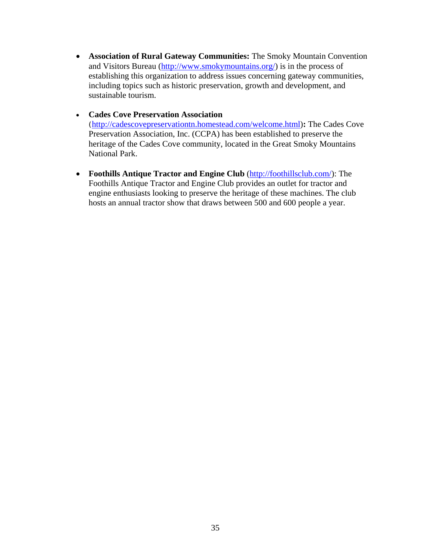- **Association of Rural Gateway Communities:** The Smoky Mountain Convention and Visitors Bureau (http://www.smokymountains.org/) is in the process of establishing this organization to address issues concerning gateway communities, including topics such as historic preservation, growth and development, and sustainable tourism.
- **Cades Cove Preservation Association**  (http://cadescovepreservationtn.homestead.com/welcome.html)**:** The Cades Cove Preservation Association, Inc. (CCPA) has been established to preserve the heritage of the Cades Cove community, located in the Great Smoky Mountains National Park.
- **Foothills Antique Tractor and Engine Club** (http://foothillsclub.com/): The Foothills Antique Tractor and Engine Club provides an outlet for tractor and engine enthusiasts looking to preserve the heritage of these machines. The club hosts an annual tractor show that draws between 500 and 600 people a year.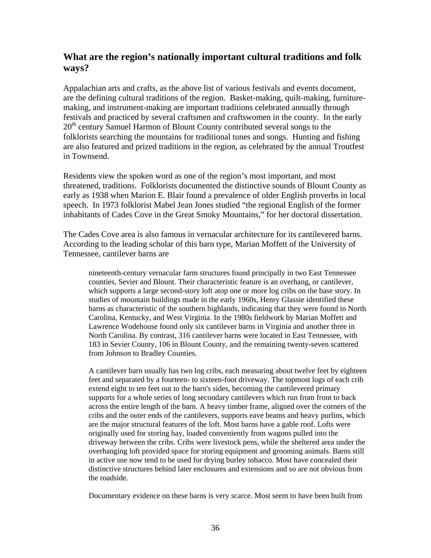# **What are the region's nationally important cultural traditions and folk ways?**

Appalachian arts and crafts, as the above list of various festivals and events document, are the defining cultural traditions of the region. Basket-making, quilt-making, furnituremaking, and instrument-making are important traditions celebrated annually through festivals and practiced by several craftsmen and craftswomen in the county. In the early 20<sup>th</sup> century Samuel Harmon of Blount County contributed several songs to the folklorists searching the mountains for traditional tunes and songs. Hunting and fishing are also featured and prized traditions in the region, as celebrated by the annual Troutfest in Townsend.

Residents view the spoken word as one of the region's most important, and most threatened, traditions. Folklorists documented the distinctive sounds of Blount County as early as 1938 when Marion E. Blair found a prevalence of older English proverbs in local speech. In 1973 folklorist Mabel Jean Jones studied "the regional English of the former inhabitants of Cades Cove in the Great Smoky Mountains," for her doctoral dissertation.

The Cades Cove area is also famous in vernacular architecture for its cantilevered barns. According to the leading scholar of this barn type, Marian Moffett of the University of Tennessee, cantilever barns are

nineteenth-century vernacular farm structures found principally in two East Tennessee counties, Sevier and Blount. Their characteristic feature is an overhang, or cantilever, which supports a large second-story loft atop one or more log cribs on the base story. In studies of mountain buildings made in the early 1960s, Henry Glassie identified these barns as characteristic of the southern highlands, indicating that they were found in North Carolina, Kentucky, and West Virginia. In the 1980s fieldwork by Marian Moffett and Lawrence Wodehouse found only six cantilever barns in Virginia and another three in North Carolina. By contrast, 316 cantilever barns were located in East Tennessee, with 183 in Sevier County, 106 in Blount County, and the remaining twenty-seven scattered from Johnson to Bradley Counties.

A cantilever barn usually has two log cribs, each measuring about twelve feet by eighteen feet and separated by a fourteen- to sixteen-foot driveway. The topmost logs of each crib extend eight to ten feet out to the barn's sides, becoming the cantilevered primary supports for a whole series of long secondary cantilevers which run from front to back across the entire length of the barn. A heavy timber frame, aligned over the corners of the cribs and the outer ends of the cantilevers, supports eave beams and heavy purlins, which are the major structural features of the loft. Most barns have a gable roof. Lofts were originally used for storing hay, loaded conveniently from wagons pulled into the driveway between the cribs. Cribs were livestock pens, while the sheltered area under the overhanging loft provided space for storing equipment and grooming animals. Barns still in active use now tend to be used for drying burley tobacco. Most have concealed their distinctive structures behind later enclosures and extensions and so are not obvious from the roadside.

Documentary evidence on these barns is very scarce. Most seem to have been built from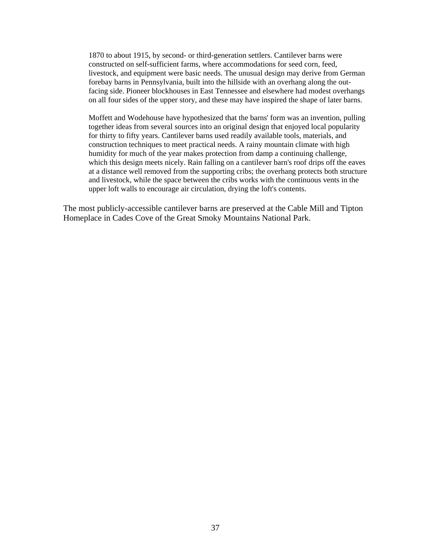1870 to about 1915, by second- or third-generation settlers. Cantilever barns were constructed on self-sufficient farms, where accommodations for seed corn, feed, livestock, and equipment were basic needs. The unusual design may derive from German forebay barns in Pennsylvania, built into the hillside with an overhang along the outfacing side. Pioneer blockhouses in East Tennessee and elsewhere had modest overhangs on all four sides of the upper story, and these may have inspired the shape of later barns.

Moffett and Wodehouse have hypothesized that the barns' form was an invention, pulling together ideas from several sources into an original design that enjoyed local popularity for thirty to fifty years. Cantilever barns used readily available tools, materials, and construction techniques to meet practical needs. A rainy mountain climate with high humidity for much of the year makes protection from damp a continuing challenge, which this design meets nicely. Rain falling on a cantilever barn's roof drips off the eaves at a distance well removed from the supporting cribs; the overhang protects both structure and livestock, while the space between the cribs works with the continuous vents in the upper loft walls to encourage air circulation, drying the loft's contents.

The most publicly-accessible cantilever barns are preserved at the Cable Mill and Tipton Homeplace in Cades Cove of the Great Smoky Mountains National Park.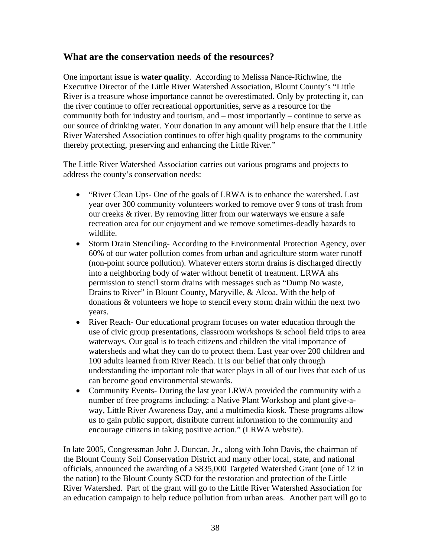# **What are the conservation needs of the resources?**

One important issue is **water quality**. According to Melissa Nance-Richwine, the Executive Director of the Little River Watershed Association, Blount County's "Little River is a treasure whose importance cannot be overestimated. Only by protecting it, can the river continue to offer recreational opportunities, serve as a resource for the community both for industry and tourism, and – most importantly – continue to serve as our source of drinking water. Your donation in any amount will help ensure that the Little River Watershed Association continues to offer high quality programs to the community thereby protecting, preserving and enhancing the Little River."

The Little River Watershed Association carries out various programs and projects to address the county's conservation needs:

- "River Clean Ups- One of the goals of LRWA is to enhance the watershed. Last year over 300 community volunteers worked to remove over 9 tons of trash from our creeks & river. By removing litter from our waterways we ensure a safe recreation area for our enjoyment and we remove sometimes-deadly hazards to wildlife.
- Storm Drain Stenciling-According to the Environmental Protection Agency, over 60% of our water pollution comes from urban and agriculture storm water runoff (non-point source pollution). Whatever enters storm drains is discharged directly into a neighboring body of water without benefit of treatment. LRWA ahs permission to stencil storm drains with messages such as "Dump No waste, Drains to River" in Blount County, Maryville, & Alcoa. With the help of donations & volunteers we hope to stencil every storm drain within the next two years.
- River Reach- Our educational program focuses on water education through the use of civic group presentations, classroom workshops & school field trips to area waterways. Our goal is to teach citizens and children the vital importance of watersheds and what they can do to protect them. Last year over 200 children and 100 adults learned from River Reach. It is our belief that only through understanding the important role that water plays in all of our lives that each of us can become good environmental stewards.
- Community Events- During the last year LRWA provided the community with a number of free programs including: a Native Plant Workshop and plant give-away, Little River Awareness Day, and a multimedia kiosk. These programs allow us to gain public support, distribute current information to the community and encourage citizens in taking positive action." (LRWA website).

In late 2005, Congressman John J. Duncan, Jr., along with John Davis, the chairman of the Blount County Soil Conservation District and many other local, state, and national officials, announced the awarding of a \$835,000 Targeted Watershed Grant (one of 12 in the nation) to the Blount County SCD for the restoration and protection of the Little River Watershed. Part of the grant will go to the Little River Watershed Association for an education campaign to help reduce pollution from urban areas. Another part will go to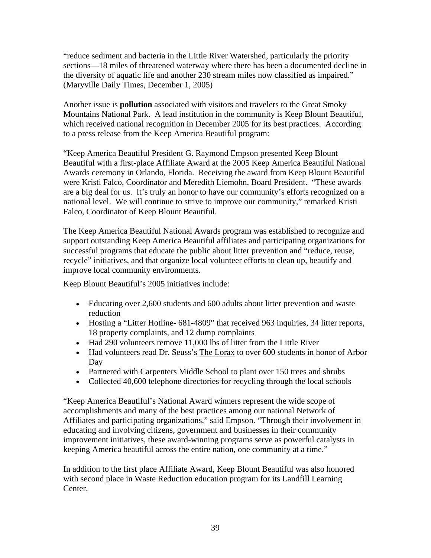"reduce sediment and bacteria in the Little River Watershed, particularly the priority sections—18 miles of threatened waterway where there has been a documented decline in the diversity of aquatic life and another 230 stream miles now classified as impaired." (Maryville Daily Times, December 1, 2005)

Another issue is **pollution** associated with visitors and travelers to the Great Smoky Mountains National Park. A lead institution in the community is Keep Blount Beautiful, which received national recognition in December 2005 for its best practices. According to a press release from the Keep America Beautiful program:

"Keep America Beautiful President G. Raymond Empson presented Keep Blount Beautiful with a first-place Affiliate Award at the 2005 Keep America Beautiful National Awards ceremony in Orlando, Florida. Receiving the award from Keep Blount Beautiful were Kristi Falco, Coordinator and Meredith Liemohn, Board President. "These awards are a big deal for us. It's truly an honor to have our community's efforts recognized on a national level. We will continue to strive to improve our community," remarked Kristi Falco, Coordinator of Keep Blount Beautiful.

The Keep America Beautiful National Awards program was established to recognize and support outstanding Keep America Beautiful affiliates and participating organizations for successful programs that educate the public about litter prevention and "reduce, reuse, recycle" initiatives, and that organize local volunteer efforts to clean up, beautify and improve local community environments.

Keep Blount Beautiful's 2005 initiatives include:

- Educating over 2,600 students and 600 adults about litter prevention and waste reduction
- Hosting a "Litter Hotline- 681-4809" that received 963 inquiries, 34 litter reports, 18 property complaints, and 12 dump complaints
- Had 290 volunteers remove 11,000 lbs of litter from the Little River
- Had volunteers read Dr. Seuss's The Lorax to over 600 students in honor of Arbor Day
- Partnered with Carpenters Middle School to plant over 150 trees and shrubs
- Collected 40,600 telephone directories for recycling through the local schools

"Keep America Beautiful's National Award winners represent the wide scope of accomplishments and many of the best practices among our national Network of Affiliates and participating organizations," said Empson. "Through their involvement in educating and involving citizens, government and businesses in their community improvement initiatives, these award-winning programs serve as powerful catalysts in keeping America beautiful across the entire nation, one community at a time."

In addition to the first place Affiliate Award, Keep Blount Beautiful was also honored with second place in Waste Reduction education program for its Landfill Learning Center.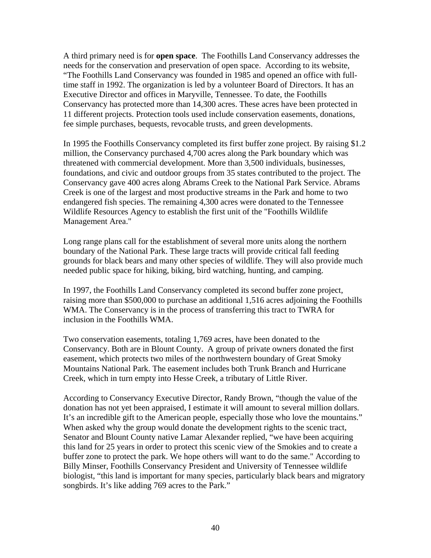A third primary need is for **open space**. The Foothills Land Conservancy addresses the needs for the conservation and preservation of open space. According to its website, "The Foothills Land Conservancy was founded in 1985 and opened an office with fulltime staff in 1992. The organization is led by a volunteer Board of Directors. It has an Executive Director and offices in Maryville, Tennessee. To date, the Foothills Conservancy has protected more than 14,300 acres. These acres have been protected in 11 different projects. Protection tools used include conservation easements, donations, fee simple purchases, bequests, revocable trusts, and green developments.

In 1995 the Foothills Conservancy completed its first buffer zone project. By raising \$1.2 million, the Conservancy purchased 4,700 acres along the Park boundary which was threatened with commercial development. More than 3,500 individuals, businesses, foundations, and civic and outdoor groups from 35 states contributed to the project. The Conservancy gave 400 acres along Abrams Creek to the National Park Service. Abrams Creek is one of the largest and most productive streams in the Park and home to two endangered fish species. The remaining 4,300 acres were donated to the Tennessee Wildlife Resources Agency to establish the first unit of the "Foothills Wildlife Management Area."

Long range plans call for the establishment of several more units along the northern boundary of the National Park. These large tracts will provide critical fall feeding grounds for black bears and many other species of wildlife. They will also provide much needed public space for hiking, biking, bird watching, hunting, and camping.

In 1997, the Foothills Land Conservancy completed its second buffer zone project, raising more than \$500,000 to purchase an additional 1,516 acres adjoining the Foothills WMA. The Conservancy is in the process of transferring this tract to TWRA for inclusion in the Foothills WMA.

Two conservation easements, totaling 1,769 acres, have been donated to the Conservancy. Both are in Blount County. A group of private owners donated the first easement, which protects two miles of the northwestern boundary of Great Smoky Mountains National Park. The easement includes both Trunk Branch and Hurricane Creek, which in turn empty into Hesse Creek, a tributary of Little River.

According to Conservancy Executive Director, Randy Brown, "though the value of the donation has not yet been appraised, I estimate it will amount to several million dollars. It's an incredible gift to the American people, especially those who love the mountains." When asked why the group would donate the development rights to the scenic tract, Senator and Blount County native Lamar Alexander replied, "we have been acquiring this land for 25 years in order to protect this scenic view of the Smokies and to create a buffer zone to protect the park. We hope others will want to do the same." According to Billy Minser, Foothills Conservancy President and University of Tennessee wildlife biologist, "this land is important for many species, particularly black bears and migratory songbirds. It's like adding 769 acres to the Park."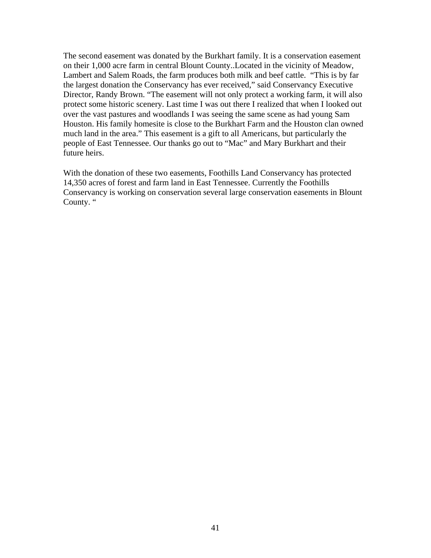The second easement was donated by the Burkhart family. It is a conservation easement on their 1,000 acre farm in central Blount County..Located in the vicinity of Meadow, Lambert and Salem Roads, the farm produces both milk and beef cattle. "This is by far the largest donation the Conservancy has ever received," said Conservancy Executive Director, Randy Brown. "The easement will not only protect a working farm, it will also protect some historic scenery. Last time I was out there I realized that when I looked out over the vast pastures and woodlands I was seeing the same scene as had young Sam Houston. His family homesite is close to the Burkhart Farm and the Houston clan owned much land in the area." This easement is a gift to all Americans, but particularly the people of East Tennessee. Our thanks go out to "Mac" and Mary Burkhart and their future heirs.

With the donation of these two easements, Foothills Land Conservancy has protected 14,350 acres of forest and farm land in East Tennessee. Currently the Foothills Conservancy is working on conservation several large conservation easements in Blount County. "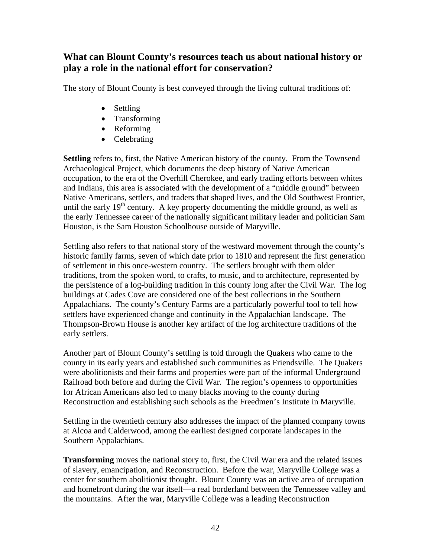# **What can Blount County's resources teach us about national history or play a role in the national effort for conservation?**

The story of Blount County is best conveyed through the living cultural traditions of:

- Settling
- Transforming
- Reforming
- Celebrating

**Settling** refers to, first, the Native American history of the county. From the Townsend Archaeological Project, which documents the deep history of Native American occupation, to the era of the Overhill Cherokee, and early trading efforts between whites and Indians, this area is associated with the development of a "middle ground" between Native Americans, settlers, and traders that shaped lives, and the Old Southwest Frontier, until the early  $19<sup>th</sup>$  century. A key property documenting the middle ground, as well as the early Tennessee career of the nationally significant military leader and politician Sam Houston, is the Sam Houston Schoolhouse outside of Maryville.

Settling also refers to that national story of the westward movement through the county's historic family farms, seven of which date prior to 1810 and represent the first generation of settlement in this once-western country. The settlers brought with them older traditions, from the spoken word, to crafts, to music, and to architecture, represented by the persistence of a log-building tradition in this county long after the Civil War. The log buildings at Cades Cove are considered one of the best collections in the Southern Appalachians. The county's Century Farms are a particularly powerful tool to tell how settlers have experienced change and continuity in the Appalachian landscape. The Thompson-Brown House is another key artifact of the log architecture traditions of the early settlers.

Another part of Blount County's settling is told through the Quakers who came to the county in its early years and established such communities as Friendsville. The Quakers were abolitionists and their farms and properties were part of the informal Underground Railroad both before and during the Civil War. The region's openness to opportunities for African Americans also led to many blacks moving to the county during Reconstruction and establishing such schools as the Freedmen's Institute in Maryville.

Settling in the twentieth century also addresses the impact of the planned company towns at Alcoa and Calderwood, among the earliest designed corporate landscapes in the Southern Appalachians.

**Transforming** moves the national story to, first, the Civil War era and the related issues of slavery, emancipation, and Reconstruction. Before the war, Maryville College was a center for southern abolitionist thought. Blount County was an active area of occupation and homefront during the war itself—a real borderland between the Tennessee valley and the mountains. After the war, Maryville College was a leading Reconstruction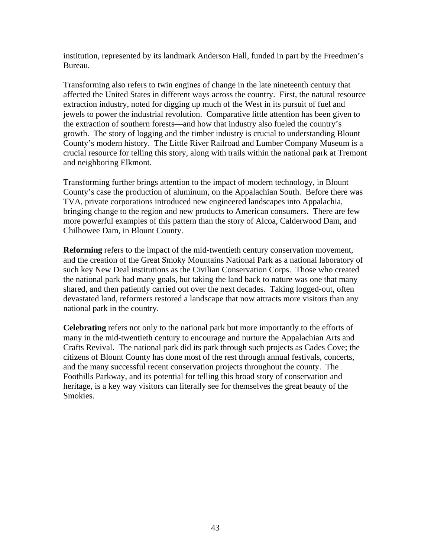institution, represented by its landmark Anderson Hall, funded in part by the Freedmen's Bureau.

Transforming also refers to twin engines of change in the late nineteenth century that affected the United States in different ways across the country. First, the natural resource extraction industry, noted for digging up much of the West in its pursuit of fuel and jewels to power the industrial revolution. Comparative little attention has been given to the extraction of southern forests—and how that industry also fueled the country's growth. The story of logging and the timber industry is crucial to understanding Blount County's modern history. The Little River Railroad and Lumber Company Museum is a crucial resource for telling this story, along with trails within the national park at Tremont and neighboring Elkmont.

Transforming further brings attention to the impact of modern technology, in Blount County's case the production of aluminum, on the Appalachian South. Before there was TVA, private corporations introduced new engineered landscapes into Appalachia, bringing change to the region and new products to American consumers. There are few more powerful examples of this pattern than the story of Alcoa, Calderwood Dam, and Chilhowee Dam, in Blount County.

**Reforming** refers to the impact of the mid-twentieth century conservation movement, and the creation of the Great Smoky Mountains National Park as a national laboratory of such key New Deal institutions as the Civilian Conservation Corps. Those who created the national park had many goals, but taking the land back to nature was one that many shared, and then patiently carried out over the next decades. Taking logged-out, often devastated land, reformers restored a landscape that now attracts more visitors than any national park in the country.

**Celebrating** refers not only to the national park but more importantly to the efforts of many in the mid-twentieth century to encourage and nurture the Appalachian Arts and Crafts Revival. The national park did its park through such projects as Cades Cove; the citizens of Blount County has done most of the rest through annual festivals, concerts, and the many successful recent conservation projects throughout the county. The Foothills Parkway, and its potential for telling this broad story of conservation and heritage, is a key way visitors can literally see for themselves the great beauty of the Smokies.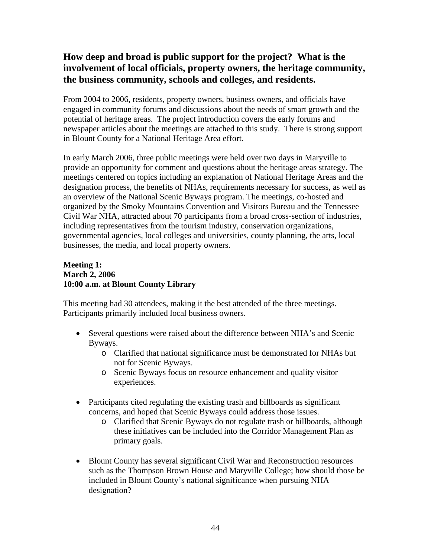# **How deep and broad is public support for the project? What is the involvement of local officials, property owners, the heritage community, the business community, schools and colleges, and residents.**

From 2004 to 2006, residents, property owners, business owners, and officials have engaged in community forums and discussions about the needs of smart growth and the potential of heritage areas. The project introduction covers the early forums and newspaper articles about the meetings are attached to this study. There is strong support in Blount County for a National Heritage Area effort.

In early March 2006, three public meetings were held over two days in Maryville to provide an opportunity for comment and questions about the heritage areas strategy. The meetings centered on topics including an explanation of National Heritage Areas and the designation process, the benefits of NHAs, requirements necessary for success, as well as an overview of the National Scenic Byways program. The meetings, co-hosted and organized by the Smoky Mountains Convention and Visitors Bureau and the Tennessee Civil War NHA, attracted about 70 participants from a broad cross-section of industries, including representatives from the tourism industry, conservation organizations, governmental agencies, local colleges and universities, county planning, the arts, local businesses, the media, and local property owners.

## **Meeting 1: March 2, 2006 10:00 a.m. at Blount County Library**

This meeting had 30 attendees, making it the best attended of the three meetings. Participants primarily included local business owners.

- Several questions were raised about the difference between NHA's and Scenic Byways.
	- o Clarified that national significance must be demonstrated for NHAs but not for Scenic Byways.
	- o Scenic Byways focus on resource enhancement and quality visitor experiences.
- Participants cited regulating the existing trash and billboards as significant concerns, and hoped that Scenic Byways could address those issues.
	- o Clarified that Scenic Byways do not regulate trash or billboards, although these initiatives can be included into the Corridor Management Plan as primary goals.
- Blount County has several significant Civil War and Reconstruction resources such as the Thompson Brown House and Maryville College; how should those be included in Blount County's national significance when pursuing NHA designation?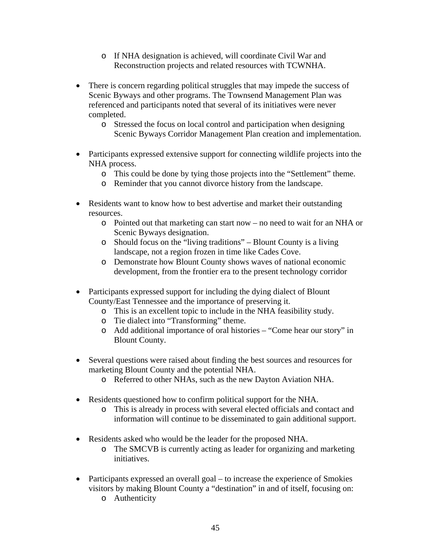- o If NHA designation is achieved, will coordinate Civil War and Reconstruction projects and related resources with TCWNHA.
- There is concern regarding political struggles that may impede the success of Scenic Byways and other programs. The Townsend Management Plan was referenced and participants noted that several of its initiatives were never completed.
	- o Stressed the focus on local control and participation when designing Scenic Byways Corridor Management Plan creation and implementation.
- Participants expressed extensive support for connecting wildlife projects into the NHA process.
	- o This could be done by tying those projects into the "Settlement" theme.
	- o Reminder that you cannot divorce history from the landscape.
- Residents want to know how to best advertise and market their outstanding resources.
	- o Pointed out that marketing can start now no need to wait for an NHA or Scenic Byways designation.
	- o Should focus on the "living traditions" Blount County is a living landscape, not a region frozen in time like Cades Cove.
	- o Demonstrate how Blount County shows waves of national economic development, from the frontier era to the present technology corridor
- Participants expressed support for including the dying dialect of Blount County/East Tennessee and the importance of preserving it.
	- o This is an excellent topic to include in the NHA feasibility study.
	- o Tie dialect into "Transforming" theme.
	- o Add additional importance of oral histories "Come hear our story" in Blount County.
- Several questions were raised about finding the best sources and resources for marketing Blount County and the potential NHA.
	- o Referred to other NHAs, such as the new Dayton Aviation NHA.
- Residents questioned how to confirm political support for the NHA.
	- o This is already in process with several elected officials and contact and information will continue to be disseminated to gain additional support.
- Residents asked who would be the leader for the proposed NHA.
	- o The SMCVB is currently acting as leader for organizing and marketing initiatives.
- Participants expressed an overall goal to increase the experience of Smokies visitors by making Blount County a "destination" in and of itself, focusing on:
	- o Authenticity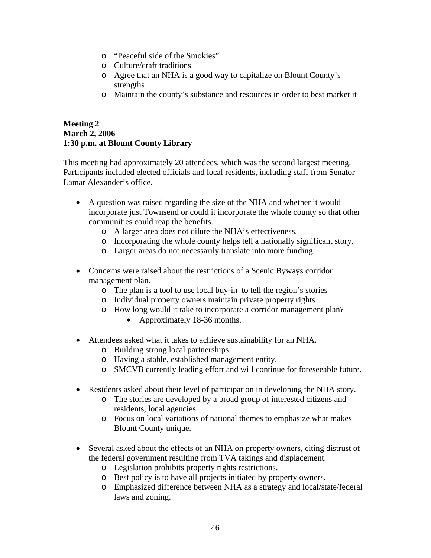- o "Peaceful side of the Smokies"
- o Culture/craft traditions
- o Agree that an NHA is a good way to capitalize on Blount County's strengths
- o Maintain the county's substance and resources in order to best market it

## **Meeting 2 March 2, 2006 1:30 p.m. at Blount County Library**

This meeting had approximately 20 attendees, which was the second largest meeting. Participants included elected officials and local residents, including staff from Senator Lamar Alexander's office.

- A question was raised regarding the size of the NHA and whether it would incorporate just Townsend or could it incorporate the whole county so that other communities could reap the benefits.
	- o A larger area does not dilute the NHA's effectiveness.
	- o Incorporating the whole county helps tell a nationally significant story.
	- o Larger areas do not necessarily translate into more funding.
- Concerns were raised about the restrictions of a Scenic Byways corridor management plan.
	- o The plan is a tool to use local buy-in to tell the region's stories
	- o Individual property owners maintain private property rights
	- o How long would it take to incorporate a corridor management plan?
		- Approximately 18-36 months.
- Attendees asked what it takes to achieve sustainability for an NHA.
	- o Building strong local partnerships.
	- o Having a stable, established management entity.
	- o SMCVB currently leading effort and will continue for foreseeable future.
- Residents asked about their level of participation in developing the NHA story.
	- o The stories are developed by a broad group of interested citizens and residents, local agencies.
	- o Focus on local variations of national themes to emphasize what makes Blount County unique.
- Several asked about the effects of an NHA on property owners, citing distrust of the federal government resulting from TVA takings and displacement.
	- o Legislation prohibits property rights restrictions.
	- o Best policy is to have all projects initiated by property owners.
	- o Emphasized difference between NHA as a strategy and local/state/federal laws and zoning.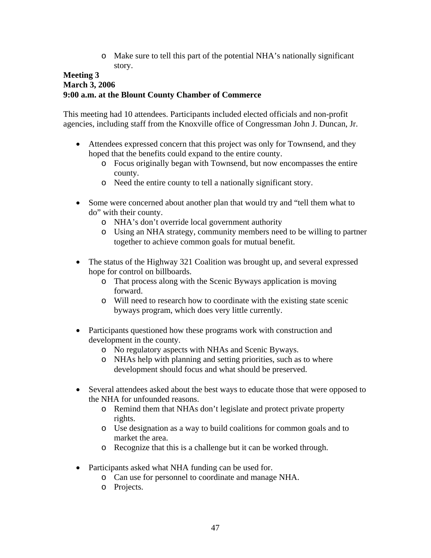o Make sure to tell this part of the potential NHA's nationally significant story.

## **Meeting 3 March 3, 2006 9:00 a.m. at the Blount County Chamber of Commerce**

This meeting had 10 attendees. Participants included elected officials and non-profit agencies, including staff from the Knoxville office of Congressman John J. Duncan, Jr.

- Attendees expressed concern that this project was only for Townsend, and they hoped that the benefits could expand to the entire county.
	- o Focus originally began with Townsend, but now encompasses the entire county.
	- o Need the entire county to tell a nationally significant story.
- Some were concerned about another plan that would try and "tell them what to do" with their county.
	- o NHA's don't override local government authority
	- o Using an NHA strategy, community members need to be willing to partner together to achieve common goals for mutual benefit.
- The status of the Highway 321 Coalition was brought up, and several expressed hope for control on billboards.
	- o That process along with the Scenic Byways application is moving forward.
	- o Will need to research how to coordinate with the existing state scenic byways program, which does very little currently.
- Participants questioned how these programs work with construction and development in the county.
	- o No regulatory aspects with NHAs and Scenic Byways.
	- o NHAs help with planning and setting priorities, such as to where development should focus and what should be preserved.
- Several attendees asked about the best ways to educate those that were opposed to the NHA for unfounded reasons.
	- o Remind them that NHAs don't legislate and protect private property rights.
	- o Use designation as a way to build coalitions for common goals and to market the area.
	- o Recognize that this is a challenge but it can be worked through.
- Participants asked what NHA funding can be used for.
	- o Can use for personnel to coordinate and manage NHA.
	- o Projects.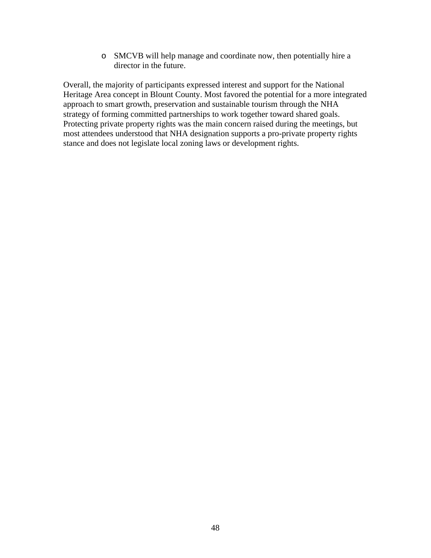o SMCVB will help manage and coordinate now, then potentially hire a director in the future.

Overall, the majority of participants expressed interest and support for the National Heritage Area concept in Blount County. Most favored the potential for a more integrated approach to smart growth, preservation and sustainable tourism through the NHA strategy of forming committed partnerships to work together toward shared goals. Protecting private property rights was the main concern raised during the meetings, but most attendees understood that NHA designation supports a pro-private property rights stance and does not legislate local zoning laws or development rights.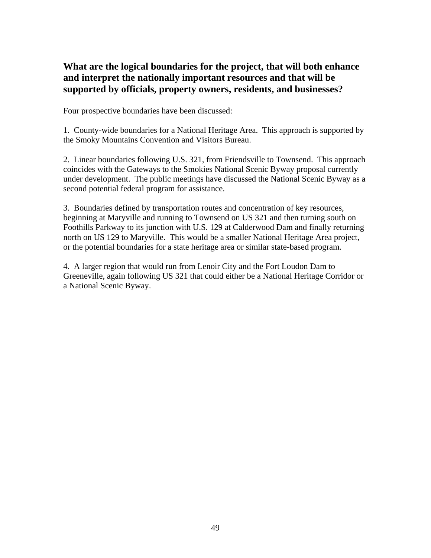# **What are the logical boundaries for the project, that will both enhance and interpret the nationally important resources and that will be supported by officials, property owners, residents, and businesses?**

Four prospective boundaries have been discussed:

1. County-wide boundaries for a National Heritage Area. This approach is supported by the Smoky Mountains Convention and Visitors Bureau.

2. Linear boundaries following U.S. 321, from Friendsville to Townsend. This approach coincides with the Gateways to the Smokies National Scenic Byway proposal currently under development. The public meetings have discussed the National Scenic Byway as a second potential federal program for assistance.

3. Boundaries defined by transportation routes and concentration of key resources, beginning at Maryville and running to Townsend on US 321 and then turning south on Foothills Parkway to its junction with U.S. 129 at Calderwood Dam and finally returning north on US 129 to Maryville. This would be a smaller National Heritage Area project, or the potential boundaries for a state heritage area or similar state-based program.

4. A larger region that would run from Lenoir City and the Fort Loudon Dam to Greeneville, again following US 321 that could either be a National Heritage Corridor or a National Scenic Byway.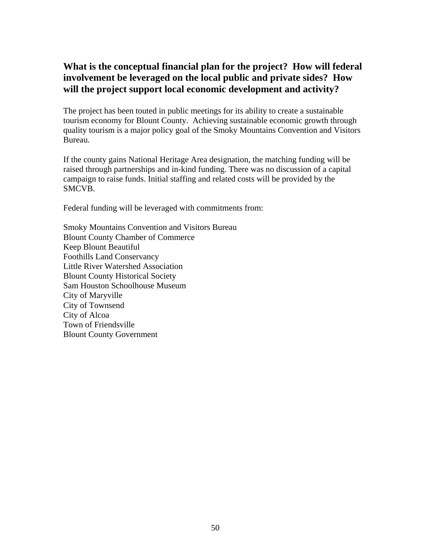# **What is the conceptual financial plan for the project? How will federal involvement be leveraged on the local public and private sides? How will the project support local economic development and activity?**

The project has been touted in public meetings for its ability to create a sustainable tourism economy for Blount County. Achieving sustainable economic growth through quality tourism is a major policy goal of the Smoky Mountains Convention and Visitors Bureau.

If the county gains National Heritage Area designation, the matching funding will be raised through partnerships and in-kind funding. There was no discussion of a capital campaign to raise funds. Initial staffing and related costs will be provided by the SMCVB.

Federal funding will be leveraged with commitments from:

Smoky Mountains Convention and Visitors Bureau Blount County Chamber of Commerce Keep Blount Beautiful Foothills Land Conservancy Little River Watershed Association Blount County Historical Society Sam Houston Schoolhouse Museum City of Maryville City of Townsend City of Alcoa Town of Friendsville Blount County Government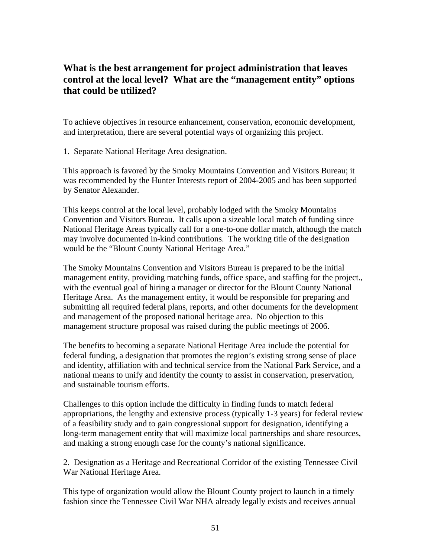# **What is the best arrangement for project administration that leaves control at the local level? What are the "management entity" options that could be utilized?**

To achieve objectives in resource enhancement, conservation, economic development, and interpretation, there are several potential ways of organizing this project.

1. Separate National Heritage Area designation.

This approach is favored by the Smoky Mountains Convention and Visitors Bureau; it was recommended by the Hunter Interests report of 2004-2005 and has been supported by Senator Alexander.

This keeps control at the local level, probably lodged with the Smoky Mountains Convention and Visitors Bureau. It calls upon a sizeable local match of funding since National Heritage Areas typically call for a one-to-one dollar match, although the match may involve documented in-kind contributions. The working title of the designation would be the "Blount County National Heritage Area."

The Smoky Mountains Convention and Visitors Bureau is prepared to be the initial management entity, providing matching funds, office space, and staffing for the project., with the eventual goal of hiring a manager or director for the Blount County National Heritage Area. As the management entity, it would be responsible for preparing and submitting all required federal plans, reports, and other documents for the development and management of the proposed national heritage area. No objection to this management structure proposal was raised during the public meetings of 2006.

The benefits to becoming a separate National Heritage Area include the potential for federal funding, a designation that promotes the region's existing strong sense of place and identity, affiliation with and technical service from the National Park Service, and a national means to unify and identify the county to assist in conservation, preservation, and sustainable tourism efforts.

Challenges to this option include the difficulty in finding funds to match federal appropriations, the lengthy and extensive process (typically 1-3 years) for federal review of a feasibility study and to gain congressional support for designation, identifying a long-term management entity that will maximize local partnerships and share resources, and making a strong enough case for the county's national significance.

2. Designation as a Heritage and Recreational Corridor of the existing Tennessee Civil War National Heritage Area.

This type of organization would allow the Blount County project to launch in a timely fashion since the Tennessee Civil War NHA already legally exists and receives annual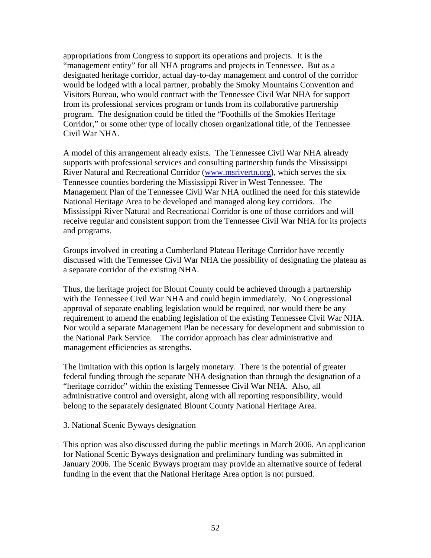appropriations from Congress to support its operations and projects. It is the "management entity" for all NHA programs and projects in Tennessee. But as a designated heritage corridor, actual day-to-day management and control of the corridor would be lodged with a local partner, probably the Smoky Mountains Convention and Visitors Bureau, who would contract with the Tennessee Civil War NHA for support from its professional services program or funds from its collaborative partnership program. The designation could be titled the "Foothills of the Smokies Heritage Corridor," or some other type of locally chosen organizational title, of the Tennessee Civil War NHA.

A model of this arrangement already exists. The Tennessee Civil War NHA already supports with professional services and consulting partnership funds the Mississippi River Natural and Recreational Corridor (www.msrivertn.org), which serves the six Tennessee counties bordering the Mississippi River in West Tennessee. The Management Plan of the Tennessee Civil War NHA outlined the need for this statewide National Heritage Area to be developed and managed along key corridors. The Mississippi River Natural and Recreational Corridor is one of those corridors and will receive regular and consistent support from the Tennessee Civil War NHA for its projects and programs.

Groups involved in creating a Cumberland Plateau Heritage Corridor have recently discussed with the Tennessee Civil War NHA the possibility of designating the plateau as a separate corridor of the existing NHA.

Thus, the heritage project for Blount County could be achieved through a partnership with the Tennessee Civil War NHA and could begin immediately. No Congressional approval of separate enabling legislation would be required, nor would there be any requirement to amend the enabling legislation of the existing Tennessee Civil War NHA. Nor would a separate Management Plan be necessary for development and submission to the National Park Service. The corridor approach has clear administrative and management efficiencies as strengths.

The limitation with this option is largely monetary. There is the potential of greater federal funding through the separate NHA designation than through the designation of a "heritage corridor" within the existing Tennessee Civil War NHA. Also, all administrative control and oversight, along with all reporting responsibility, would belong to the separately designated Blount County National Heritage Area.

#### 3. National Scenic Byways designation

This option was also discussed during the public meetings in March 2006. An application for National Scenic Byways designation and preliminary funding was submitted in January 2006. The Scenic Byways program may provide an alternative source of federal funding in the event that the National Heritage Area option is not pursued.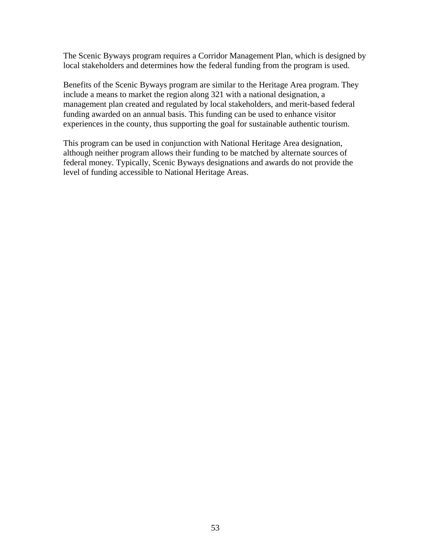The Scenic Byways program requires a Corridor Management Plan, which is designed by local stakeholders and determines how the federal funding from the program is used.

Benefits of the Scenic Byways program are similar to the Heritage Area program. They include a means to market the region along 321 with a national designation, a management plan created and regulated by local stakeholders, and merit-based federal funding awarded on an annual basis. This funding can be used to enhance visitor experiences in the county, thus supporting the goal for sustainable authentic tourism.

This program can be used in conjunction with National Heritage Area designation, although neither program allows their funding to be matched by alternate sources of federal money. Typically, Scenic Byways designations and awards do not provide the level of funding accessible to National Heritage Areas.